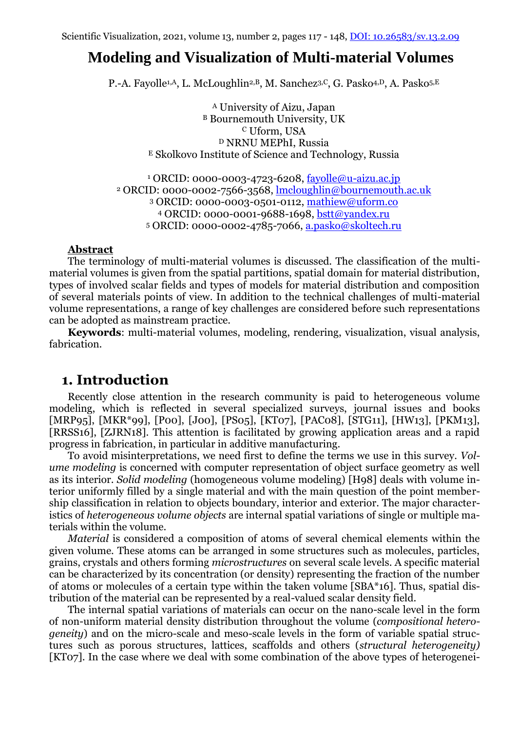# **Modeling and Visualization of Multi-material Volumes**

P.-A. Fayolle<sup>1,A</sup>, L. McLoughlin<sup>2,B</sup>, M. Sanchez<sup>3,C</sup>, G. Pasko<sup>4,D</sup>, A. Pasko<sup>5,E</sup>

<sup>A</sup> University of Aizu, Japan <sup>B</sup> Bournemouth University, UK <sup>C</sup> Uform, USA <sup>D</sup> NRNU MEPhI, Russia <sup>E</sup> Skolkovo Institute of Science and Technology, Russia

 ORCID: 0000-0003-4723-6208, [fayolle@u-aizu.ac.jp](mailto:fayolle@u-aizu.ac.jp) ORCID: 0000-0002-7566-3568, [lmcloughlin@bournemouth.ac.uk](mailto:lmcloughlin@bournemouth.ac.uk) ORCID: 0000-0003-0501-0112, [mathiew@uform.co](mailto:mathiew@uform.co) ORCID: 0000-0001-9688-1698, [bstt@yandex.ru](mailto:bstt@yandex.ru) ORCID: 0000-0002-4785-7066, [a.pasko@skoltech.ru](mailto:a.pasko@skoltech.ru)

### **Abstract**

The terminology of multi-material volumes is discussed. The classification of the multimaterial volumes is given from the spatial partitions, spatial domain for material distribution, types of involved scalar fields and types of models for material distribution and composition of several materials points of view. In addition to the technical challenges of multi-material volume representations, a range of key challenges are considered before such representations can be adopted as mainstream practice.

**Keywords**: multi-material volumes, modeling, rendering, visualization, visual analysis, fabrication.

# **1. Introduction**

Recently close attention in the research community is paid to heterogeneous volume modeling, which is reflected in several specialized surveys, journal issues and books [MRP95], [MKR\*99], [P00], [J00], [PS05], [KT07], [PAC08], [STG11], [HW13], [PKM13], [RRSS16], [ZJRN18]. This attention is facilitated by growing application areas and a rapid progress in fabrication, in particular in additive manufacturing.

To avoid misinterpretations, we need first to define the terms we use in this survey. *Volume modeling* is concerned with computer representation of object surface geometry as well as its interior. *Solid modeling* (homogeneous volume modeling) [H98] deals with volume interior uniformly filled by a single material and with the main question of the point membership classification in relation to objects boundary, interior and exterior. The major characteristics of *heterogeneous volume objects* are internal spatial variations of single or multiple materials within the volume.

*Material* is considered a composition of atoms of several chemical elements within the given volume. These atoms can be arranged in some structures such as molecules, particles, grains, crystals and others forming *microstructures* on several scale levels. A specific material can be characterized by its concentration (or density) representing the fraction of the number of atoms or molecules of a certain type within the taken volume [SBA\*16]. Thus, spatial distribution of the material can be represented by a real-valued scalar density field.

The internal spatial variations of materials can occur on the nano-scale level in the form of non-uniform material density distribution throughout the volume (*compositional heterogeneity*) and on the micro-scale and meso-scale levels in the form of variable spatial structures such as porous structures, lattices, scaffolds and others (*structural heterogeneity)* [KT07]. In the case where we deal with some combination of the above types of heterogenei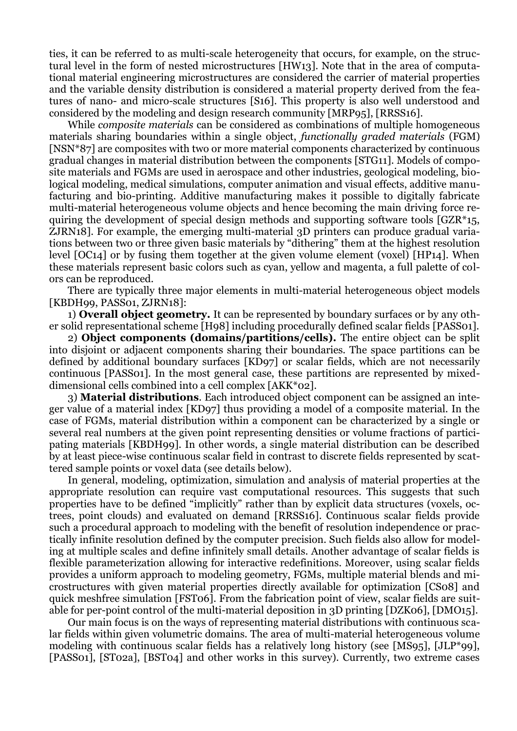ties, it can be referred to as multi-scale heterogeneity that occurs, for example, on the structural level in the form of nested microstructures [HW13]. Note that in the area of computational material engineering microstructures are considered the carrier of material properties and the variable density distribution is considered a material property derived from the features of nano- and micro-scale structures [S16]. This property is also well understood and considered by the modeling and design research community [MRP95], [RRSS16].

While *composite materials* can be considered as combinations of multiple homogeneous materials sharing boundaries within a single object, *functionally graded materials* (FGM) [NSN\*87] are composites with two or more material components characterized by continuous gradual changes in material distribution between the components [STG11]. Models of composite materials and FGMs are used in aerospace and other industries, geological modeling, biological modeling, medical simulations, computer animation and visual effects, additive manufacturing and bio-printing. Additive manufacturing makes it possible to digitally fabricate multi-material heterogeneous volume objects and hence becoming the main driving force requiring the development of special design methods and supporting software tools [GZR\*15, ZJRN18]. For example, the emerging multi-material 3D printers can produce gradual variations between two or three given basic materials by "dithering" them at the highest resolution level [OC14] or by fusing them together at the given volume element (voxel) [HP14]. When these materials represent basic colors such as cyan, yellow and magenta, a full palette of colors can be reproduced.

There are typically three major elements in multi-material heterogeneous object models [KBDH99, PASS01, ZJRN18]:

1) **Overall object geometry.** It can be represented by boundary surfaces or by any other solid representational scheme [H98] including procedurally defined scalar fields [PASS01].

2) **Object components (domains/partitions/cells).** The entire object can be split into disjoint or adjacent components sharing their boundaries. The space partitions can be defined by additional boundary surfaces [KD97] or scalar fields, which are not necessarily continuous [PASS01]. In the most general case, these partitions are represented by mixeddimensional cells combined into a cell complex [AKK\*02].

3) **Material distributions**. Each introduced object component can be assigned an integer value of a material index [KD97] thus providing a model of a composite material. In the case of FGMs, material distribution within a component can be characterized by a single or several real numbers at the given point representing densities or volume fractions of participating materials [KBDH99]. In other words, a single material distribution can be described by at least piece-wise continuous scalar field in contrast to discrete fields represented by scattered sample points or voxel data (see details below).

In general, modeling, optimization, simulation and analysis of material properties at the appropriate resolution can require vast computational resources. This suggests that such properties have to be defined "implicitly" rather than by explicit data structures (voxels, octrees, point clouds) and evaluated on demand [RRSS16]. Continuous scalar fields provide such a procedural approach to modeling with the benefit of resolution independence or practically infinite resolution defined by the computer precision. Such fields also allow for modeling at multiple scales and define infinitely small details. Another advantage of scalar fields is flexible parameterization allowing for interactive redefinitions. Moreover, using scalar fields provides a uniform approach to modeling geometry, FGMs, multiple material blends and microstructures with given material properties directly available for optimization [CS08] and quick meshfree simulation [FST06]. From the fabrication point of view, scalar fields are suitable for per-point control of the multi-material deposition in 3D printing [DZK06], [DMO15].

Our main focus is on the ways of representing material distributions with continuous scalar fields within given volumetric domains. The area of multi-material heterogeneous volume modeling with continuous scalar fields has a relatively long history (see [MS95], [JLP\*99], [PASS01], [ST02a], [BST04] and other works in this survey). Currently, two extreme cases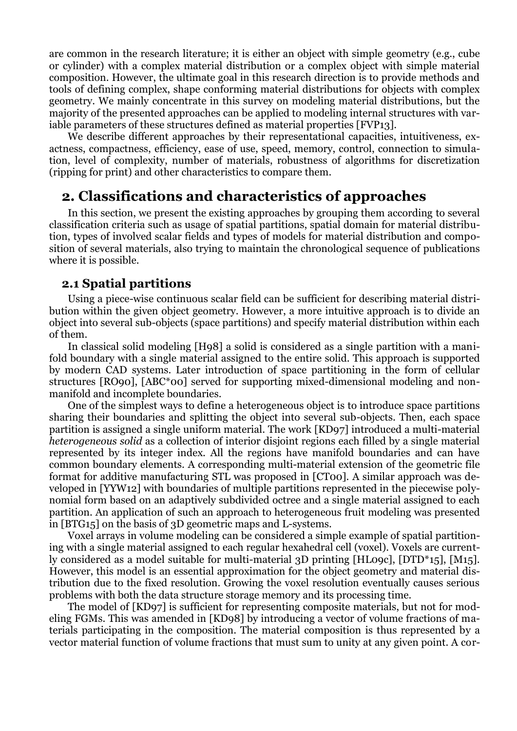are common in the research literature; it is either an object with simple geometry (e.g., cube or cylinder) with a complex material distribution or a complex object with simple material composition. However, the ultimate goal in this research direction is to provide methods and tools of defining complex, shape conforming material distributions for objects with complex geometry. We mainly concentrate in this survey on modeling material distributions, but the majority of the presented approaches can be applied to modeling internal structures with variable parameters of these structures defined as material properties [FVP13].

We describe different approaches by their representational capacities, intuitiveness, exactness, compactness, efficiency, ease of use, speed, memory, control, connection to simulation, level of complexity, number of materials, robustness of algorithms for discretization (ripping for print) and other characteristics to compare them.

# **2. Classifications and characteristics of approaches**

In this section, we present the existing approaches by grouping them according to several classification criteria such as usage of spatial partitions, spatial domain for material distribution, types of involved scalar fields and types of models for material distribution and composition of several materials, also trying to maintain the chronological sequence of publications where it is possible.

# **2.1 Spatial partitions**

Using a piece-wise continuous scalar field can be sufficient for describing material distribution within the given object geometry. However, a more intuitive approach is to divide an object into several sub-objects (space partitions) and specify material distribution within each of them.

In classical solid modeling [H98] a solid is considered as a single partition with a manifold boundary with a single material assigned to the entire solid. This approach is supported by modern CAD systems. Later introduction of space partitioning in the form of cellular structures [RO90], [ABC\*00] served for supporting mixed-dimensional modeling and nonmanifold and incomplete boundaries.

One of the simplest ways to define a heterogeneous object is to introduce space partitions sharing their boundaries and splitting the object into several sub-objects. Then, each space partition is assigned a single uniform material. The work [KD97] introduced a multi-material *heterogeneous solid* as a collection of interior disjoint regions each filled by a single material represented by its integer index. All the regions have manifold boundaries and can have common boundary elements. A corresponding multi-material extension of the geometric file format for additive manufacturing STL was proposed in [CT00]. A similar approach was developed in [YYW12] with boundaries of multiple partitions represented in the piecewise polynomial form based on an adaptively subdivided octree and a single material assigned to each partition. An application of such an approach to heterogeneous fruit modeling was presented in [BTG15] on the basis of 3D geometric maps and L-systems.

Voxel arrays in volume modeling can be considered a simple example of spatial partitioning with a single material assigned to each regular hexahedral cell (voxel). Voxels are currently considered as a model suitable for multi-material 3D printing [HL09c], [DTD\*15], [M15]. However, this model is an essential approximation for the object geometry and material distribution due to the fixed resolution. Growing the voxel resolution eventually causes serious problems with both the data structure storage memory and its processing time.

The model of [KD97] is sufficient for representing composite materials, but not for modeling FGMs. This was amended in [KD98] by introducing a vector of volume fractions of materials participating in the composition. The material composition is thus represented by a vector material function of volume fractions that must sum to unity at any given point. A cor-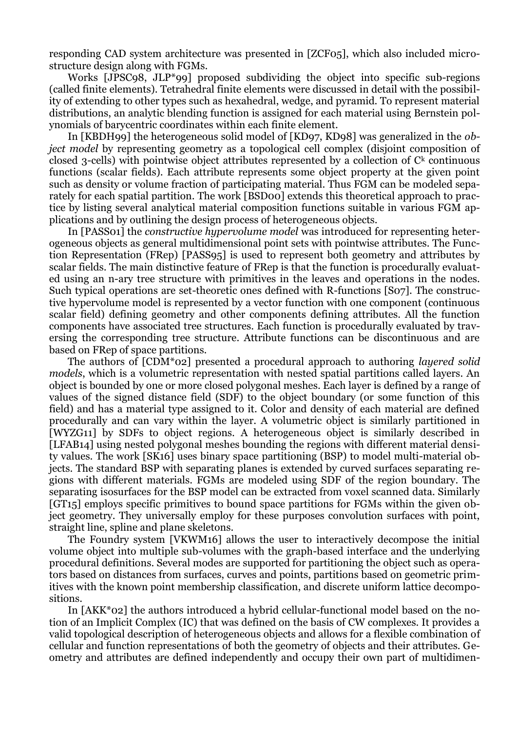responding CAD system architecture was presented in [ZCF05], which also included microstructure design along with FGMs.

Works [JPSC98, JLP\*99] proposed subdividing the object into specific sub-regions (called finite elements). Tetrahedral finite elements were discussed in detail with the possibility of extending to other types such as hexahedral, wedge, and pyramid. To represent material distributions, an analytic blending function is assigned for each material using Bernstein polynomials of barycentric coordinates within each finite element.

In [KBDH99] the heterogeneous solid model of [KD97, KD98] was generalized in the *object model* by representing geometry as a topological cell complex (disjoint composition of closed 3-cells) with pointwise object attributes represented by a collection of  $C<sup>k</sup>$  continuous functions (scalar fields). Each attribute represents some object property at the given point such as density or volume fraction of participating material. Thus FGM can be modeled separately for each spatial partition. The work [BSD00] extends this theoretical approach to practice by listing several analytical material composition functions suitable in various FGM applications and by outlining the design process of heterogeneous objects.

In [PASS01] the *constructive hypervolume model* was introduced for representing heterogeneous objects as general multidimensional point sets with pointwise attributes. The Function Representation (FRep) [PASS95] is used to represent both geometry and attributes by scalar fields. The main distinctive feature of FRep is that the function is procedurally evaluated using an n-ary tree structure with primitives in the leaves and operations in the nodes. Such typical operations are set-theoretic ones defined with R-functions [S07]. The constructive hypervolume model is represented by a vector function with one component (continuous scalar field) defining geometry and other components defining attributes. All the function components have associated tree structures. Each function is procedurally evaluated by traversing the corresponding tree structure. Attribute functions can be discontinuous and are based on FRep of space partitions.

The authors of [CDM\*02] presented a procedural approach to authoring *layered solid models*, which is a volumetric representation with nested spatial partitions called layers. An object is bounded by one or more closed polygonal meshes. Each layer is defined by a range of values of the signed distance field (SDF) to the object boundary (or some function of this field) and has a material type assigned to it. Color and density of each material are defined procedurally and can vary within the layer. A volumetric object is similarly partitioned in [WYZG11] by SDFs to object regions. A heterogeneous object is similarly described in [LFAB14] using nested polygonal meshes bounding the regions with different material density values. The work [SK16] uses binary space partitioning (BSP) to model multi-material objects. The standard BSP with separating planes is extended by curved surfaces separating regions with different materials. FGMs are modeled using SDF of the region boundary. The separating isosurfaces for the BSP model can be extracted from voxel scanned data. Similarly [GT15] employs specific primitives to bound space partitions for FGMs within the given object geometry. They universally employ for these purposes convolution surfaces with point, straight line, spline and plane skeletons.

The Foundry system [VKWM16] allows the user to interactively decompose the initial volume object into multiple sub-volumes with the graph-based interface and the underlying procedural definitions. Several modes are supported for partitioning the object such as operators based on distances from surfaces, curves and points, partitions based on geometric primitives with the known point membership classification, and discrete uniform lattice decompositions.

In [AKK\*02] the authors introduced a hybrid cellular-functional model based on the notion of an Implicit Complex (IC) that was defined on the basis of CW complexes. It provides a valid topological description of heterogeneous objects and allows for a flexible combination of cellular and function representations of both the geometry of objects and their attributes. Geometry and attributes are defined independently and occupy their own part of multidimen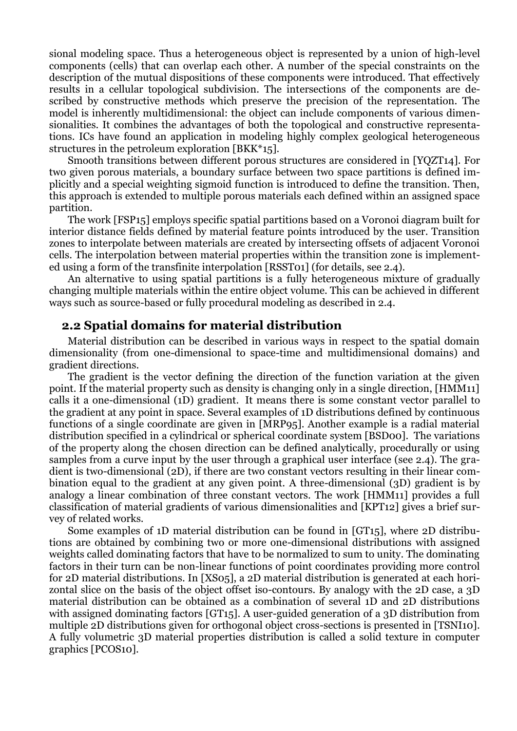sional modeling space. Thus a heterogeneous object is represented by a union of high-level components (cells) that can overlap each other. A number of the special constraints on the description of the mutual dispositions of these components were introduced. That effectively results in a cellular topological subdivision. The intersections of the components are described by constructive methods which preserve the precision of the representation. The model is inherently multidimensional: the object can include components of various dimensionalities. It combines the advantages of both the topological and constructive representations. ICs have found an application in modeling highly complex geological heterogeneous structures in the petroleum exploration [BKK\*15].

Smooth transitions between different porous structures are considered in [YQZT14]. For two given porous materials, a boundary surface between two space partitions is defined implicitly and a special weighting sigmoid function is introduced to define the transition. Then, this approach is extended to multiple porous materials each defined within an assigned space partition.

The work [FSP15] employs specific spatial partitions based on a Voronoi diagram built for interior distance fields defined by material feature points introduced by the user. Transition zones to interpolate between materials are created by intersecting offsets of adjacent Voronoi cells. The interpolation between material properties within the transition zone is implemented using a form of the transfinite interpolation [RSST01] (for details, see 2.4).

An alternative to using spatial partitions is a fully heterogeneous mixture of gradually changing multiple materials within the entire object volume. This can be achieved in different ways such as source-based or fully procedural modeling as described in 2.4.

## **2.2 Spatial domains for material distribution**

Material distribution can be described in various ways in respect to the spatial domain dimensionality (from one-dimensional to space-time and multidimensional domains) and gradient directions.

The gradient is the vector defining the direction of the function variation at the given point. If the material property such as density is changing only in a single direction, [HMM11] calls it a one-dimensional (1D) gradient. It means there is some constant vector parallel to the gradient at any point in space. Several examples of 1D distributions defined by continuous functions of a single coordinate are given in [MRP95]. Another example is a radial material distribution specified in a cylindrical or spherical coordinate system [BSD00]. The variations of the property along the chosen direction can be defined analytically, procedurally or using samples from a curve input by the user through a graphical user interface (see 2.4). The gradient is two-dimensional (2D), if there are two constant vectors resulting in their linear combination equal to the gradient at any given point. A three-dimensional (3D) gradient is by analogy a linear combination of three constant vectors. The work [HMM11] provides a full classification of material gradients of various dimensionalities and [KPT12] gives a brief survey of related works.

Some examples of 1D material distribution can be found in [GT15], where 2D distributions are obtained by combining two or more one-dimensional distributions with assigned weights called dominating factors that have to be normalized to sum to unity. The dominating factors in their turn can be non-linear functions of point coordinates providing more control for 2D material distributions. In [XS05], a 2D material distribution is generated at each horizontal slice on the basis of the object offset iso-contours. By analogy with the 2D case, a 3D material distribution can be obtained as a combination of several 1D and 2D distributions with assigned dominating factors [GT15]. A user-guided generation of a 3D distribution from multiple 2D distributions given for orthogonal object cross-sections is presented in [TSNI10]. A fully volumetric 3D material properties distribution is called a solid texture in computer graphics [PCOS10].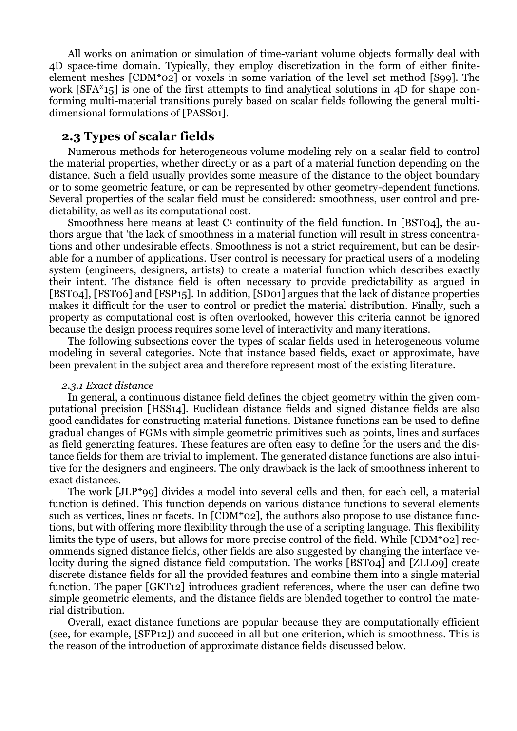All works on animation or simulation of time-variant volume objects formally deal with 4D space-time domain. Typically, they employ discretization in the form of either finiteelement meshes [CDM\*02] or voxels in some variation of the level set method [S99]. The work [SFA\*15] is one of the first attempts to find analytical solutions in 4D for shape conforming multi-material transitions purely based on scalar fields following the general multidimensional formulations of [PASS01].

## **2.3 Types of scalar fields**

Numerous methods for heterogeneous volume modeling rely on a scalar field to control the material properties, whether directly or as a part of a material function depending on the distance. Such a field usually provides some measure of the distance to the object boundary or to some geometric feature, or can be represented by other geometry-dependent functions. Several properties of the scalar field must be considered: smoothness, user control and predictability, as well as its computational cost.

Smoothness here means at least  $C<sup>1</sup>$  continuity of the field function. In [BST04], the authors argue that 'the lack of smoothness in a material function will result in stress concentrations and other undesirable effects. Smoothness is not a strict requirement, but can be desirable for a number of applications. User control is necessary for practical users of a modeling system (engineers, designers, artists) to create a material function which describes exactly their intent. The distance field is often necessary to provide predictability as argued in [BST04], [FST06] and [FSP15]. In addition, [SD01] argues that the lack of distance properties makes it difficult for the user to control or predict the material distribution. Finally, such a property as computational cost is often overlooked, however this criteria cannot be ignored because the design process requires some level of interactivity and many iterations.

The following subsections cover the types of scalar fields used in heterogeneous volume modeling in several categories. Note that instance based fields, exact or approximate, have been prevalent in the subject area and therefore represent most of the existing literature.

#### *2.3.1 Exact distance*

In general, a continuous distance field defines the object geometry within the given computational precision [HSS14]. Euclidean distance fields and signed distance fields are also good candidates for constructing material functions. Distance functions can be used to define gradual changes of FGMs with simple geometric primitives such as points, lines and surfaces as field generating features. These features are often easy to define for the users and the distance fields for them are trivial to implement. The generated distance functions are also intuitive for the designers and engineers. The only drawback is the lack of smoothness inherent to exact distances.

The work [JLP\*99] divides a model into several cells and then, for each cell, a material function is defined. This function depends on various distance functions to several elements such as vertices, lines or facets. In [CDM\*02], the authors also propose to use distance functions, but with offering more flexibility through the use of a scripting language. This flexibility limits the type of users, but allows for more precise control of the field. While [CDM\*02] recommends signed distance fields, other fields are also suggested by changing the interface velocity during the signed distance field computation. The works [BST04] and [ZLL09] create discrete distance fields for all the provided features and combine them into a single material function. The paper [GKT12] introduces gradient references, where the user can define two simple geometric elements, and the distance fields are blended together to control the material distribution.

Overall, exact distance functions are popular because they are computationally efficient (see, for example, [SFP12]) and succeed in all but one criterion, which is smoothness. This is the reason of the introduction of approximate distance fields discussed below.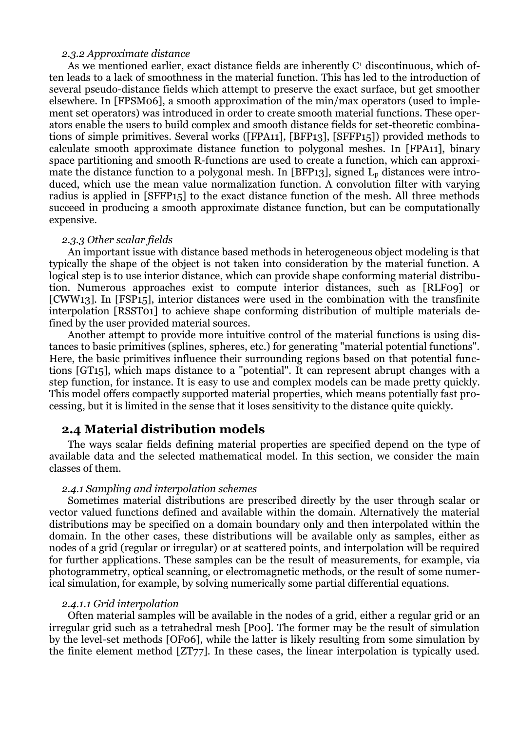### *2.3.2 Approximate distance*

As we mentioned earlier, exact distance fields are inherently  $C<sup>1</sup>$  discontinuous, which often leads to a lack of smoothness in the material function. This has led to the introduction of several pseudo-distance fields which attempt to preserve the exact surface, but get smoother elsewhere. In [FPSM06], a smooth approximation of the min/max operators (used to implement set operators) was introduced in order to create smooth material functions. These operators enable the users to build complex and smooth distance fields for set-theoretic combinations of simple primitives. Several works ([FPA11], [BFP13], [SFFP15]) provided methods to calculate smooth approximate distance function to polygonal meshes. In [FPA11], binary space partitioning and smooth R-functions are used to create a function, which can approximate the distance function to a polygonal mesh. In [BFP13], signed  $L<sub>p</sub>$  distances were introduced, which use the mean value normalization function. A convolution filter with varying radius is applied in [SFFP15] to the exact distance function of the mesh. All three methods succeed in producing a smooth approximate distance function, but can be computationally expensive.

#### *2.3.3 Other scalar fields*

An important issue with distance based methods in heterogeneous object modeling is that typically the shape of the object is not taken into consideration by the material function. A logical step is to use interior distance, which can provide shape conforming material distribution. Numerous approaches exist to compute interior distances, such as [RLF09] or [CWW13]. In [FSP15], interior distances were used in the combination with the transfinite interpolation [RSST01] to achieve shape conforming distribution of multiple materials defined by the user provided material sources.

Another attempt to provide more intuitive control of the material functions is using distances to basic primitives (splines, spheres, etc.) for generating "material potential functions". Here, the basic primitives influence their surrounding regions based on that potential functions [GT15], which maps distance to a "potential". It can represent abrupt changes with a step function, for instance. It is easy to use and complex models can be made pretty quickly. This model offers compactly supported material properties, which means potentially fast processing, but it is limited in the sense that it loses sensitivity to the distance quite quickly.

## **2.4 Material distribution models**

The ways scalar fields defining material properties are specified depend on the type of available data and the selected mathematical model. In this section, we consider the main classes of them.

### *2.4.1 Sampling and interpolation schemes*

Sometimes material distributions are prescribed directly by the user through scalar or vector valued functions defined and available within the domain. Alternatively the material distributions may be specified on a domain boundary only and then interpolated within the domain. In the other cases, these distributions will be available only as samples, either as nodes of a grid (regular or irregular) or at scattered points, and interpolation will be required for further applications. These samples can be the result of measurements, for example, via photogrammetry, optical scanning, or electromagnetic methods, or the result of some numerical simulation, for example, by solving numerically some partial differential equations.

#### *2.4.1.1 Grid interpolation*

Often material samples will be available in the nodes of a grid, either a regular grid or an irregular grid such as a tetrahedral mesh [P00]. The former may be the result of simulation by the level-set methods [OF06], while the latter is likely resulting from some simulation by the finite element method [ZT77]. In these cases, the linear interpolation is typically used.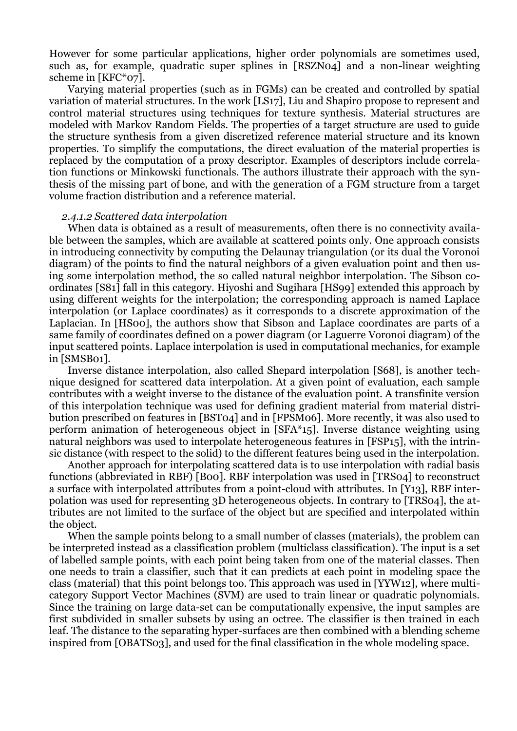However for some particular applications, higher order polynomials are sometimes used, such as, for example, quadratic super splines in [RSZN04] and a non-linear weighting scheme in [KFC\*07].

Varying material properties (such as in FGMs) can be created and controlled by spatial variation of material structures. In the work [LS17], Liu and Shapiro propose to represent and control material structures using techniques for texture synthesis. Material structures are modeled with Markov Random Fields. The properties of a target structure are used to guide the structure synthesis from a given discretized reference material structure and its known properties. To simplify the computations, the direct evaluation of the material properties is replaced by the computation of a proxy descriptor. Examples of descriptors include correlation functions or Minkowski functionals. The authors illustrate their approach with the synthesis of the missing part of bone, and with the generation of a FGM structure from a target volume fraction distribution and a reference material.

### *2.4.1.2 Scattered data interpolation*

When data is obtained as a result of measurements, often there is no connectivity available between the samples, which are available at scattered points only. One approach consists in introducing connectivity by computing the Delaunay triangulation (or its dual the Voronoi diagram) of the points to find the natural neighbors of a given evaluation point and then using some interpolation method, the so called natural neighbor interpolation. The Sibson coordinates [S81] fall in this category. Hiyoshi and Sugihara [HS99] extended this approach by using different weights for the interpolation; the corresponding approach is named Laplace interpolation (or Laplace coordinates) as it corresponds to a discrete approximation of the Laplacian. In [HS00], the authors show that Sibson and Laplace coordinates are parts of a same family of coordinates defined on a power diagram (or Laguerre Voronoi diagram) of the input scattered points. Laplace interpolation is used in computational mechanics, for example in [SMSB01].

Inverse distance interpolation, also called Shepard interpolation [S68], is another technique designed for scattered data interpolation. At a given point of evaluation, each sample contributes with a weight inverse to the distance of the evaluation point. A transfinite version of this interpolation technique was used for defining gradient material from material distribution prescribed on features in [BST04] and in [FPSM06]. More recently, it was also used to perform animation of heterogeneous object in [SFA\*15]. Inverse distance weighting using natural neighbors was used to interpolate heterogeneous features in [FSP15], with the intrinsic distance (with respect to the solid) to the different features being used in the interpolation.

Another approach for interpolating scattered data is to use interpolation with radial basis functions (abbreviated in RBF) [B00]. RBF interpolation was used in [TRS04] to reconstruct a surface with interpolated attributes from a point-cloud with attributes. In [Y13], RBF interpolation was used for representing 3D heterogeneous objects. In contrary to [TRS04], the attributes are not limited to the surface of the object but are specified and interpolated within the object.

When the sample points belong to a small number of classes (materials), the problem can be interpreted instead as a classification problem (multiclass classification). The input is a set of labelled sample points, with each point being taken from one of the material classes. Then one needs to train a classifier, such that it can predicts at each point in modeling space the class (material) that this point belongs too. This approach was used in [YYW12], where multicategory Support Vector Machines (SVM) are used to train linear or quadratic polynomials. Since the training on large data-set can be computationally expensive, the input samples are first subdivided in smaller subsets by using an octree. The classifier is then trained in each leaf. The distance to the separating hyper-surfaces are then combined with a blending scheme inspired from [OBATS03], and used for the final classification in the whole modeling space.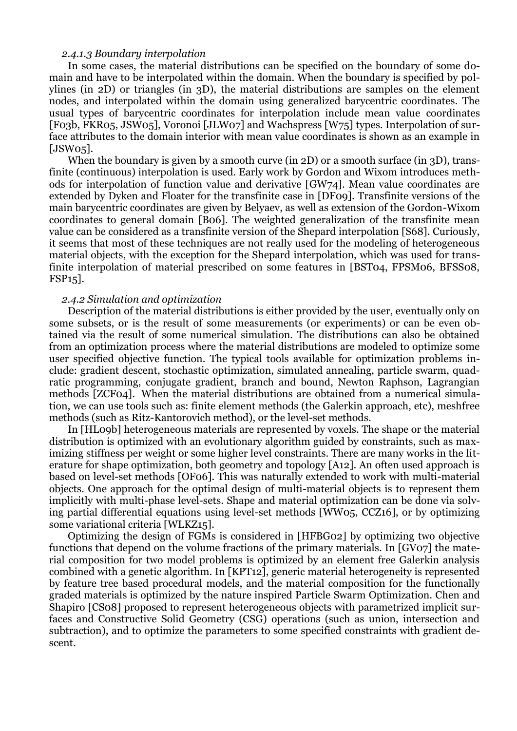### *2.4.1.3 Boundary interpolation*

In some cases, the material distributions can be specified on the boundary of some domain and have to be interpolated within the domain. When the boundary is specified by polylines (in 2D) or triangles (in 3D), the material distributions are samples on the element nodes, and interpolated within the domain using generalized barycentric coordinates. The usual types of barycentric coordinates for interpolation include mean value coordinates [F03b, FKR05, JSW05], Voronoi [JLW07] and Wachspress [W75] types. Interpolation of surface attributes to the domain interior with mean value coordinates is shown as an example in [JSW05].

When the boundary is given by a smooth curve (in 2D) or a smooth surface (in 3D), transfinite (continuous) interpolation is used. Early work by Gordon and Wixom introduces methods for interpolation of function value and derivative [GW74]. Mean value coordinates are extended by Dyken and Floater for the transfinite case in [DF09]. Transfinite versions of the main barycentric coordinates are given by Belyaev, as well as extension of the Gordon-Wixom coordinates to general domain [B06]. The weighted generalization of the transfinite mean value can be considered as a transfinite version of the Shepard interpolation [S68]. Curiously, it seems that most of these techniques are not really used for the modeling of heterogeneous material objects, with the exception for the Shepard interpolation, which was used for transfinite interpolation of material prescribed on some features in [BST04, FPSM06, BFSS08, FSP15].

### *2.4.2 Simulation and optimization*

Description of the material distributions is either provided by the user, eventually only on some subsets, or is the result of some measurements (or experiments) or can be even obtained via the result of some numerical simulation. The distributions can also be obtained from an optimization process where the material distributions are modeled to optimize some user specified objective function. The typical tools available for optimization problems include: gradient descent, stochastic optimization, simulated annealing, particle swarm, quadratic programming, conjugate gradient, branch and bound, Newton Raphson, Lagrangian methods [ZCF04]. When the material distributions are obtained from a numerical simulation, we can use tools such as: finite element methods (the Galerkin approach, etc), meshfree methods (such as Ritz-Kantorovich method), or the level-set methods.

In [HL09b] heterogeneous materials are represented by voxels. The shape or the material distribution is optimized with an evolutionary algorithm guided by constraints, such as maximizing stiffness per weight or some higher level constraints. There are many works in the literature for shape optimization, both geometry and topology [A12]. An often used approach is based on level-set methods [OF06]. This was naturally extended to work with multi-material objects. One approach for the optimal design of multi-material objects is to represent them implicitly with multi-phase level-sets. Shape and material optimization can be done via solving partial differential equations using level-set methods [WW05, CCZ16], or by optimizing some variational criteria [WLKZ15].

Optimizing the design of FGMs is considered in [HFBG02] by optimizing two objective functions that depend on the volume fractions of the primary materials. In [GV07] the material composition for two model problems is optimized by an element free Galerkin analysis combined with a genetic algorithm. In [KPT12], generic material heterogeneity is represented by feature tree based procedural models, and the material composition for the functionally graded materials is optimized by the nature inspired Particle Swarm Optimization. Chen and Shapiro [CS08] proposed to represent heterogeneous objects with parametrized implicit surfaces and Constructive Solid Geometry (CSG) operations (such as union, intersection and subtraction), and to optimize the parameters to some specified constraints with gradient descent.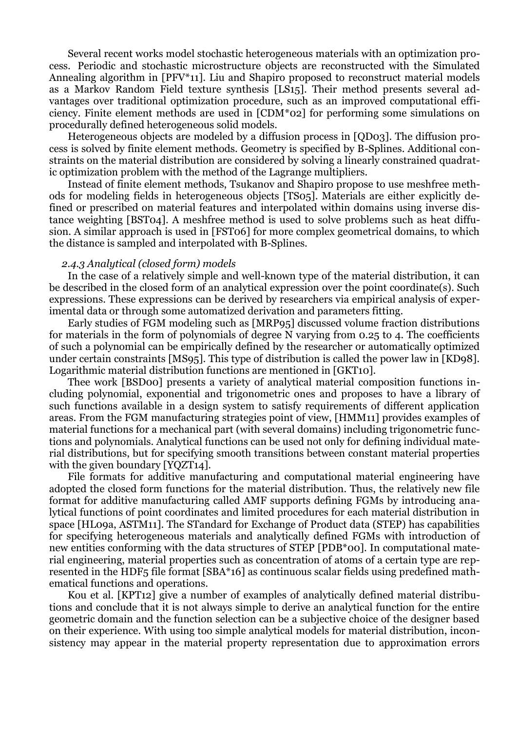Several recent works model stochastic heterogeneous materials with an optimization process. Periodic and stochastic microstructure objects are reconstructed with the Simulated Annealing algorithm in [PFV\*11]. Liu and Shapiro proposed to reconstruct material models as a Markov Random Field texture synthesis [LS15]. Their method presents several advantages over traditional optimization procedure, such as an improved computational efficiency. Finite element methods are used in [CDM\*02] for performing some simulations on procedurally defined heterogeneous solid models.

Heterogeneous objects are modeled by a diffusion process in [QD03]. The diffusion process is solved by finite element methods. Geometry is specified by B-Splines. Additional constraints on the material distribution are considered by solving a linearly constrained quadratic optimization problem with the method of the Lagrange multipliers.

Instead of finite element methods, Tsukanov and Shapiro propose to use meshfree methods for modeling fields in heterogeneous objects [TS05]. Materials are either explicitly defined or prescribed on material features and interpolated within domains using inverse distance weighting [BST04]. A meshfree method is used to solve problems such as heat diffusion. A similar approach is used in [FST06] for more complex geometrical domains, to which the distance is sampled and interpolated with B-Splines.

#### *2.4.3 Analytical (closed form) models*

In the case of a relatively simple and well-known type of the material distribution, it can be described in the closed form of an analytical expression over the point coordinate(s). Such expressions. These expressions can be derived by researchers via empirical analysis of experimental data or through some automatized derivation and parameters fitting.

Early studies of FGM modeling such as [MRP95] discussed volume fraction distributions for materials in the form of polynomials of degree N varying from 0.25 to 4. The coefficients of such a polynomial can be empirically defined by the researcher or automatically optimized under certain constraints [MS95]. This type of distribution is called the power law in [KD98]. Logarithmic material distribution functions are mentioned in [GKT10].

Thee work [BSD00] presents a variety of analytical material composition functions including polynomial, exponential and trigonometric ones and proposes to have a library of such functions available in a design system to satisfy requirements of different application areas. From the FGM manufacturing strategies point of view, [HMM11] provides examples of material functions for a mechanical part (with several domains) including trigonometric functions and polynomials. Analytical functions can be used not only for defining individual material distributions, but for specifying smooth transitions between constant material properties with the given boundary [YQZT14].

File formats for additive manufacturing and computational material engineering have adopted the closed form functions for the material distribution. Thus, the relatively new file format for additive manufacturing called AMF supports defining FGMs by introducing analytical functions of point coordinates and limited procedures for each material distribution in space [HL09a, ASTM11]. The STandard for Exchange of Product data (STEP) has capabilities for specifying heterogeneous materials and analytically defined FGMs with introduction of new entities conforming with the data structures of STEP [PDB\*00]. In computational material engineering, material properties such as concentration of atoms of a certain type are represented in the HDF5 file format [SBA\*16] as continuous scalar fields using predefined mathematical functions and operations.

Kou et al. [KPT12] give a number of examples of analytically defined material distributions and conclude that it is not always simple to derive an analytical function for the entire geometric domain and the function selection can be a subjective choice of the designer based on their experience. With using too simple analytical models for material distribution, inconsistency may appear in the material property representation due to approximation errors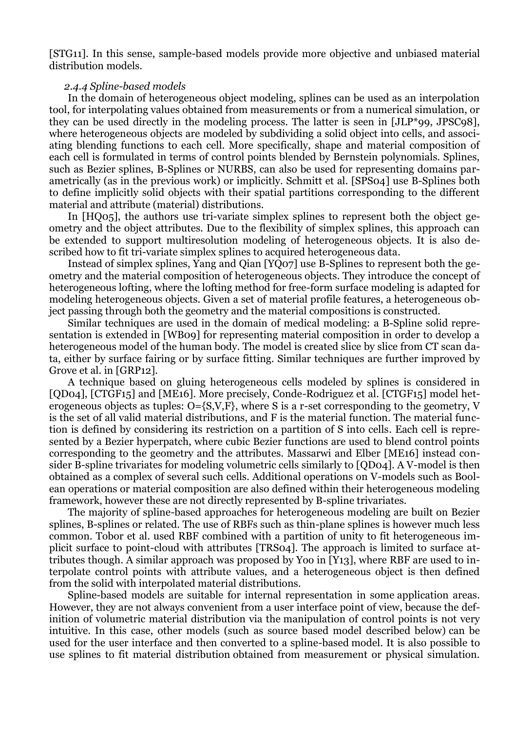[STG11]. In this sense, sample-based models provide more objective and unbiased material distribution models.

#### *2.4.4 Spline-based models*

In the domain of heterogeneous object modeling, splines can be used as an interpolation tool, for interpolating values obtained from measurements or from a numerical simulation, or they can be used directly in the modeling process. The latter is seen in [JLP\*99, JPSC98], where heterogeneous objects are modeled by subdividing a solid object into cells, and associating blending functions to each cell. More specifically, shape and material composition of each cell is formulated in terms of control points blended by Bernstein polynomials. Splines, such as Bezier splines, B-Splines or NURBS, can also be used for representing domains parametrically (as in the previous work) or implicitly. Schmitt et al. [SPS04] use B-Splines both to define implicitly solid objects with their spatial partitions corresponding to the different material and attribute (material) distributions.

In [HQ05], the authors use tri-variate simplex splines to represent both the object geometry and the object attributes. Due to the flexibility of simplex splines, this approach can be extended to support multiresolution modeling of heterogeneous objects. It is also described how to fit tri-variate simplex splines to acquired heterogeneous data.

Instead of simplex splines, Yang and Qian [YQ07] use B-Splines to represent both the geometry and the material composition of heterogeneous objects. They introduce the concept of heterogeneous lofting, where the lofting method for free-form surface modeling is adapted for modeling heterogeneous objects. Given a set of material profile features, a heterogeneous object passing through both the geometry and the material compositions is constructed.

Similar techniques are used in the domain of medical modeling: a B-Spline solid representation is extended in [WB09] for representing material composition in order to develop a heterogeneous model of the human body. The model is created slice by slice from CT scan data, either by surface fairing or by surface fitting. Similar techniques are further improved by Grove et al. in [GRP12].

A technique based on gluing heterogeneous cells modeled by splines is considered in [QD04], [CTGF15] and [ME16]. More precisely, Conde-Rodriguez et al. [CTGF15] model heterogeneous objects as tuples: O={S,V,F}, where S is a r-set corresponding to the geometry, V is the set of all valid material distributions, and F is the material function. The material function is defined by considering its restriction on a partition of S into cells. Each cell is represented by a Bezier hyperpatch, where cubic Bezier functions are used to blend control points corresponding to the geometry and the attributes. Massarwi and Elber [ME16] instead consider B-spline trivariates for modeling volumetric cells similarly to [QD04]. A V-model is then obtained as a complex of several such cells. Additional operations on V-models such as Boolean operations or material composition are also defined within their heterogeneous modeling framework, however these are not directly represented by B-spline trivariates.

The majority of spline-based approaches for heterogeneous modeling are built on Bezier splines, B-splines or related. The use of RBFs such as thin-plane splines is however much less common. Tobor et al. used RBF combined with a partition of unity to fit heterogeneous implicit surface to point-cloud with attributes [TRS04]. The approach is limited to surface attributes though. A similar approach was proposed by Yoo in [Y13], where RBF are used to interpolate control points with attribute values, and a heterogeneous object is then defined from the solid with interpolated material distributions.

Spline-based models are suitable for internal representation in some application areas. However, they are not always convenient from a user interface point of view, because the definition of volumetric material distribution via the manipulation of control points is not very intuitive. In this case, other models (such as source based model described below) can be used for the user interface and then converted to a spline-based model. It is also possible to use splines to fit material distribution obtained from measurement or physical simulation.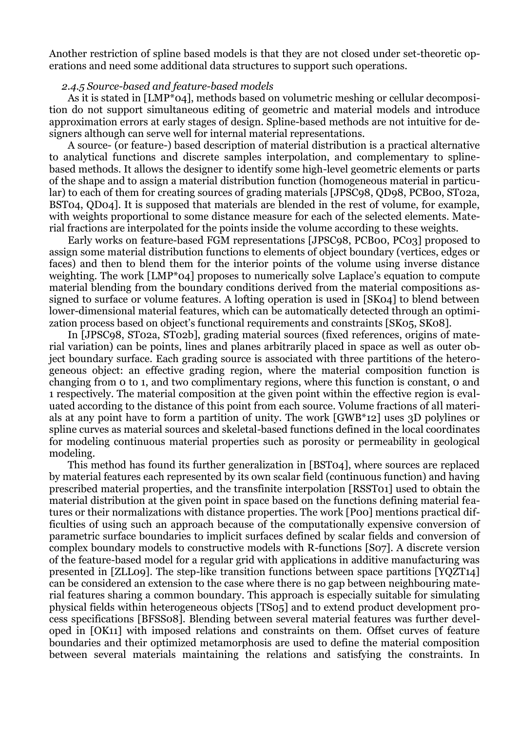Another restriction of spline based models is that they are not closed under set-theoretic operations and need some additional data structures to support such operations.

### *2.4.5 Source-based and feature-based models*

As it is stated in [LMP<sup>\*</sup>04], methods based on volumetric meshing or cellular decomposition do not support simultaneous editing of geometric and material models and introduce approximation errors at early stages of design. Spline-based methods are not intuitive for designers although can serve well for internal material representations.

A source- (or feature-) based description of material distribution is a practical alternative to analytical functions and discrete samples interpolation, and complementary to splinebased methods. It allows the designer to identify some high-level geometric elements or parts of the shape and to assign a material distribution function (homogeneous material in particular) to each of them for creating sources of grading materials [JPSC98, QD98, PCB00, ST02a, BST04, QD04]. It is supposed that materials are blended in the rest of volume, for example, with weights proportional to some distance measure for each of the selected elements. Material fractions are interpolated for the points inside the volume according to these weights.

Early works on feature-based FGM representations [JPSC98, PCB00, PC03] proposed to assign some material distribution functions to elements of object boundary (vertices, edges or faces) and then to blend them for the interior points of the volume using inverse distance weighting. The work [LMP\*04] proposes to numerically solve Laplace's equation to compute material blending from the boundary conditions derived from the material compositions assigned to surface or volume features. A lofting operation is used in [SK04] to blend between lower-dimensional material features, which can be automatically detected through an optimization process based on object's functional requirements and constraints [SK05, SK08].

In [JPSC98, ST02a, ST02b], grading material sources (fixed references, origins of material variation) can be points, lines and planes arbitrarily placed in space as well as outer object boundary surface. Each grading source is associated with three partitions of the heterogeneous object: an effective grading region, where the material composition function is changing from 0 to 1, and two complimentary regions, where this function is constant, 0 and 1 respectively. The material composition at the given point within the effective region is evaluated according to the distance of this point from each source. Volume fractions of all materials at any point have to form a partition of unity. The work [GWB\*12] uses 3D polylines or spline curves as material sources and skeletal-based functions defined in the local coordinates for modeling continuous material properties such as porosity or permeability in geological modeling.

This method has found its further generalization in [BST04], where sources are replaced by material features each represented by its own scalar field (continuous function) and having prescribed material properties, and the transfinite interpolation [RSST01] used to obtain the material distribution at the given point in space based on the functions defining material features or their normalizations with distance properties. The work [P00] mentions practical difficulties of using such an approach because of the computationally expensive conversion of parametric surface boundaries to implicit surfaces defined by scalar fields and conversion of complex boundary models to constructive models with R-functions [S07]. A discrete version of the feature-based model for a regular grid with applications in additive manufacturing was presented in [ZLL09]. The step-like transition functions between space partitions [YQZT14] can be considered an extension to the case where there is no gap between neighbouring material features sharing a common boundary. This approach is especially suitable for simulating physical fields within heterogeneous objects [TS05] and to extend product development process specifications [BFSS08]. Blending between several material features was further developed in [OK11] with imposed relations and constraints on them. Offset curves of feature boundaries and their optimized metamorphosis are used to define the material composition between several materials maintaining the relations and satisfying the constraints. In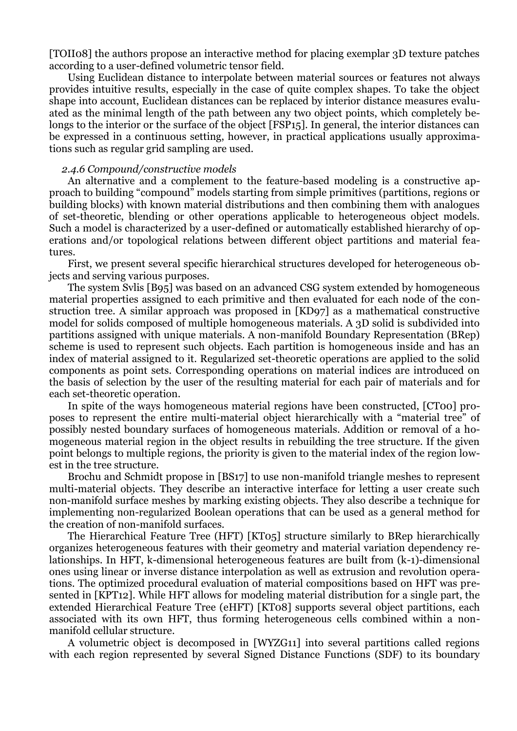[TOII08] the authors propose an interactive method for placing exemplar 3D texture patches according to a user-defined volumetric tensor field.

Using Euclidean distance to interpolate between material sources or features not always provides intuitive results, especially in the case of quite complex shapes. To take the object shape into account, Euclidean distances can be replaced by interior distance measures evaluated as the minimal length of the path between any two object points, which completely belongs to the interior or the surface of the object [FSP15]. In general, the interior distances can be expressed in a continuous setting, however, in practical applications usually approximations such as regular grid sampling are used.

### *2.4.6 Compound/constructive models*

An alternative and a complement to the feature-based modeling is a constructive approach to building "compound" models starting from simple primitives (partitions, regions or building blocks) with known material distributions and then combining them with analogues of set-theoretic, blending or other operations applicable to heterogeneous object models. Such a model is characterized by a user-defined or automatically established hierarchy of operations and/or topological relations between different object partitions and material features.

First, we present several specific hierarchical structures developed for heterogeneous objects and serving various purposes.

The system Svlis [B95] was based on an advanced CSG system extended by homogeneous material properties assigned to each primitive and then evaluated for each node of the construction tree. A similar approach was proposed in [KD97] as a mathematical constructive model for solids composed of multiple homogeneous materials. A 3D solid is subdivided into partitions assigned with unique materials. A non-manifold Boundary Representation (BRep) scheme is used to represent such objects. Each partition is homogeneous inside and has an index of material assigned to it. Regularized set-theoretic operations are applied to the solid components as point sets. Corresponding operations on material indices are introduced on the basis of selection by the user of the resulting material for each pair of materials and for each set-theoretic operation.

In spite of the ways homogeneous material regions have been constructed, [CT00] proposes to represent the entire multi-material object hierarchically with a "material tree" of possibly nested boundary surfaces of homogeneous materials. Addition or removal of a homogeneous material region in the object results in rebuilding the tree structure. If the given point belongs to multiple regions, the priority is given to the material index of the region lowest in the tree structure.

Brochu and Schmidt propose in [BS17] to use non-manifold triangle meshes to represent multi-material objects. They describe an interactive interface for letting a user create such non-manifold surface meshes by marking existing objects. They also describe a technique for implementing non-regularized Boolean operations that can be used as a general method for the creation of non-manifold surfaces.

The Hierarchical Feature Tree (HFT) [KT05] structure similarly to BRep hierarchically organizes heterogeneous features with their geometry and material variation dependency relationships. In HFT, k-dimensional heterogeneous features are built from (k-1)-dimensional ones using linear or inverse distance interpolation as well as extrusion and revolution operations. The optimized procedural evaluation of material compositions based on HFT was presented in [KPT12]. While HFT allows for modeling material distribution for a single part, the extended Hierarchical Feature Tree (eHFT) [KT08] supports several object partitions, each associated with its own HFT, thus forming heterogeneous cells combined within a nonmanifold cellular structure.

A volumetric object is decomposed in [WYZG11] into several partitions called regions with each region represented by several Signed Distance Functions (SDF) to its boundary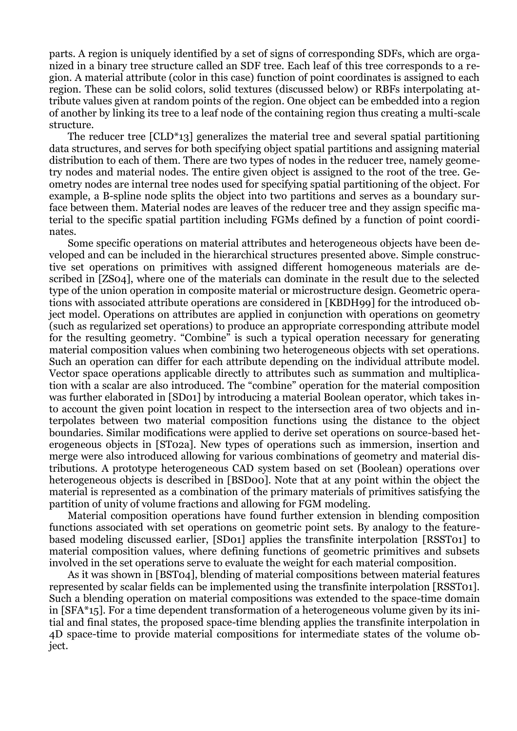parts. A region is uniquely identified by a set of signs of corresponding SDFs, which are organized in a binary tree structure called an SDF tree. Each leaf of this tree corresponds to a region. A material attribute (color in this case) function of point coordinates is assigned to each region. These can be solid colors, solid textures (discussed below) or RBFs interpolating attribute values given at random points of the region. One object can be embedded into a region of another by linking its tree to a leaf node of the containing region thus creating a multi-scale structure.

The reducer tree [CLD\*13] generalizes the material tree and several spatial partitioning data structures, and serves for both specifying object spatial partitions and assigning material distribution to each of them. There are two types of nodes in the reducer tree, namely geometry nodes and material nodes. The entire given object is assigned to the root of the tree. Geometry nodes are internal tree nodes used for specifying spatial partitioning of the object. For example, a B-spline node splits the object into two partitions and serves as a boundary surface between them. Material nodes are leaves of the reducer tree and they assign specific material to the specific spatial partition including FGMs defined by a function of point coordinates.

Some specific operations on material attributes and heterogeneous objects have been developed and can be included in the hierarchical structures presented above. Simple constructive set operations on primitives with assigned different homogeneous materials are described in [ZS04], where one of the materials can dominate in the result due to the selected type of the union operation in composite material or microstructure design. Geometric operations with associated attribute operations are considered in [KBDH99] for the introduced object model. Operations on attributes are applied in conjunction with operations on geometry (such as regularized set operations) to produce an appropriate corresponding attribute model for the resulting geometry. "Combine" is such a typical operation necessary for generating material composition values when combining two heterogeneous objects with set operations. Such an operation can differ for each attribute depending on the individual attribute model. Vector space operations applicable directly to attributes such as summation and multiplication with a scalar are also introduced. The "combine" operation for the material composition was further elaborated in [SD01] by introducing a material Boolean operator, which takes into account the given point location in respect to the intersection area of two objects and interpolates between two material composition functions using the distance to the object boundaries. Similar modifications were applied to derive set operations on source-based heterogeneous objects in [ST02a]. New types of operations such as immersion, insertion and merge were also introduced allowing for various combinations of geometry and material distributions. A prototype heterogeneous CAD system based on set (Boolean) operations over heterogeneous objects is described in [BSD00]. Note that at any point within the object the material is represented as a combination of the primary materials of primitives satisfying the partition of unity of volume fractions and allowing for FGM modeling.

Material composition operations have found further extension in blending composition functions associated with set operations on geometric point sets. By analogy to the featurebased modeling discussed earlier, [SD01] applies the transfinite interpolation [RSST01] to material composition values, where defining functions of geometric primitives and subsets involved in the set operations serve to evaluate the weight for each material composition.

As it was shown in [BST04], blending of material compositions between material features represented by scalar fields can be implemented using the transfinite interpolation [RSST01]. Such a blending operation on material compositions was extended to the space-time domain in [SFA\*15]. For a time dependent transformation of a heterogeneous volume given by its initial and final states, the proposed space-time blending applies the transfinite interpolation in 4D space-time to provide material compositions for intermediate states of the volume object.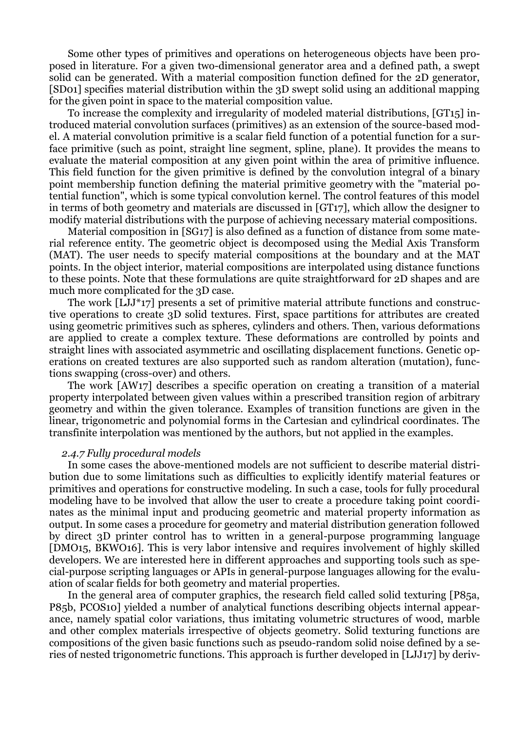Some other types of primitives and operations on heterogeneous objects have been proposed in literature. For a given two-dimensional generator area and a defined path, a swept solid can be generated. With a material composition function defined for the 2D generator, [SD01] specifies material distribution within the 3D swept solid using an additional mapping for the given point in space to the material composition value.

To increase the complexity and irregularity of modeled material distributions, [GT15] introduced material convolution surfaces (primitives) as an extension of the source-based model. A material convolution primitive is a scalar field function of a potential function for a surface primitive (such as point, straight line segment, spline, plane). It provides the means to evaluate the material composition at any given point within the area of primitive influence. This field function for the given primitive is defined by the convolution integral of a binary point membership function defining the material primitive geometry with the "material potential function", which is some typical convolution kernel. The control features of this model in terms of both geometry and materials are discussed in [GT17], which allow the designer to modify material distributions with the purpose of achieving necessary material compositions.

Material composition in [SG17] is also defined as a function of distance from some material reference entity. The geometric object is decomposed using the Medial Axis Transform (MAT). The user needs to specify material compositions at the boundary and at the MAT points. In the object interior, material compositions are interpolated using distance functions to these points. Note that these formulations are quite straightforward for 2D shapes and are much more complicated for the 3D case.

The work [LJJ<sup>\*</sup>17] presents a set of primitive material attribute functions and constructive operations to create 3D solid textures. First, space partitions for attributes are created using geometric primitives such as spheres, cylinders and others. Then, various deformations are applied to create a complex texture. These deformations are controlled by points and straight lines with associated asymmetric and oscillating displacement functions. Genetic operations on created textures are also supported such as random alteration (mutation), functions swapping (cross-over) and others.

The work [AW17] describes a specific operation on creating a transition of a material property interpolated between given values within a prescribed transition region of arbitrary geometry and within the given tolerance. Examples of transition functions are given in the linear, trigonometric and polynomial forms in the Cartesian and cylindrical coordinates. The transfinite interpolation was mentioned by the authors, but not applied in the examples.

#### *2.4.7 Fully procedural models*

In some cases the above-mentioned models are not sufficient to describe material distribution due to some limitations such as difficulties to explicitly identify material features or primitives and operations for constructive modeling. In such a case, tools for fully procedural modeling have to be involved that allow the user to create a procedure taking point coordinates as the minimal input and producing geometric and material property information as output. In some cases a procedure for geometry and material distribution generation followed by direct 3D printer control has to written in a general-purpose programming language [DMO15, BKWO16]. This is very labor intensive and requires involvement of highly skilled developers. We are interested here in different approaches and supporting tools such as special-purpose scripting languages or APIs in general-purpose languages allowing for the evaluation of scalar fields for both geometry and material properties.

In the general area of computer graphics, the research field called solid texturing [P85a, P85b, PCOS10] yielded a number of analytical functions describing objects internal appearance, namely spatial color variations, thus imitating volumetric structures of wood, marble and other complex materials irrespective of objects geometry. Solid texturing functions are compositions of the given basic functions such as pseudo-random solid noise defined by a series of nested trigonometric functions. This approach is further developed in [LJJ17] by deriv-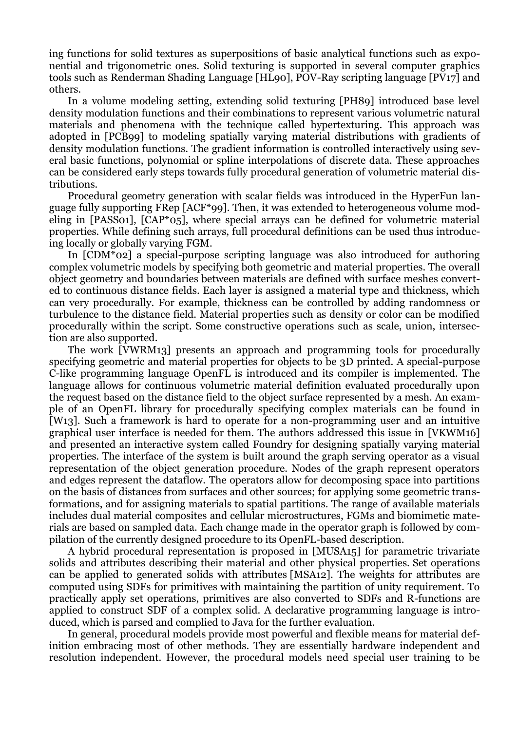ing functions for solid textures as superpositions of basic analytical functions such as exponential and trigonometric ones. Solid texturing is supported in several computer graphics tools such as Renderman Shading Language [HL90], POV-Ray scripting language [PV17] and others.

In a volume modeling setting, extending solid texturing [PH89] introduced base level density modulation functions and their combinations to represent various volumetric natural materials and phenomena with the technique called hypertexturing. This approach was adopted in [PCB99] to modeling spatially varying material distributions with gradients of density modulation functions. The gradient information is controlled interactively using several basic functions, polynomial or spline interpolations of discrete data. These approaches can be considered early steps towards fully procedural generation of volumetric material distributions.

Procedural geometry generation with scalar fields was introduced in the HyperFun language fully supporting FRep [ACF\*99]. Then, it was extended to heterogeneous volume modeling in [PASS01], [CAP\*05], where special arrays can be defined for volumetric material properties. While defining such arrays, full procedural definitions can be used thus introducing locally or globally varying FGM.

In  $\text{ICDM}^*$ 02] a special-purpose scripting language was also introduced for authoring complex volumetric models by specifying both geometric and material properties. The overall object geometry and boundaries between materials are defined with surface meshes converted to continuous distance fields. Each layer is assigned a material type and thickness, which can very procedurally. For example, thickness can be controlled by adding randomness or turbulence to the distance field. Material properties such as density or color can be modified procedurally within the script. Some constructive operations such as scale, union, intersection are also supported.

The work [VWRM13] presents an approach and programming tools for procedurally specifying geometric and material properties for objects to be 3D printed. A special-purpose C-like programming language OpenFL is introduced and its compiler is implemented. The language allows for continuous volumetric material definition evaluated procedurally upon the request based on the distance field to the object surface represented by a mesh. An example of an OpenFL library for procedurally specifying complex materials can be found in [W13]. Such a framework is hard to operate for a non-programming user and an intuitive graphical user interface is needed for them. The authors addressed this issue in [VKWM16] and presented an interactive system called Foundry for designing spatially varying material properties. The interface of the system is built around the graph serving operator as a visual representation of the object generation procedure. Nodes of the graph represent operators and edges represent the dataflow. The operators allow for decomposing space into partitions on the basis of distances from surfaces and other sources; for applying some geometric transformations, and for assigning materials to spatial partitions. The range of available materials includes dual material composites and cellular microstructures, FGMs and biomimetic materials are based on sampled data. Each change made in the operator graph is followed by compilation of the currently designed procedure to its OpenFL-based description.

A hybrid procedural representation is proposed in [MUSA15] for parametric trivariate solids and attributes describing their material and other physical properties. Set operations can be applied to generated solids with attributes [MSA12]. The weights for attributes are computed using SDFs for primitives with maintaining the partition of unity requirement. To practically apply set operations, primitives are also converted to SDFs and R-functions are applied to construct SDF of a complex solid. A declarative programming language is introduced, which is parsed and complied to Java for the further evaluation.

In general, procedural models provide most powerful and flexible means for material definition embracing most of other methods. They are essentially hardware independent and resolution independent. However, the procedural models need special user training to be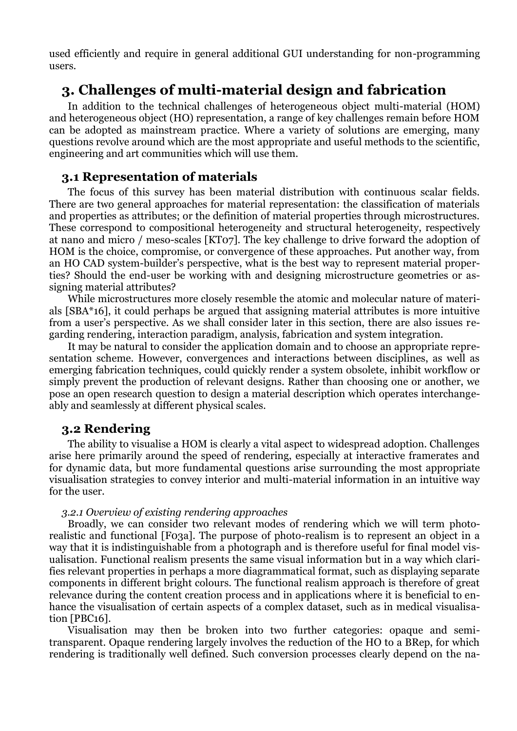used efficiently and require in general additional GUI understanding for non-programming users.

# **3. Challenges of multi-material design and fabrication**

In addition to the technical challenges of heterogeneous object multi-material (HOM) and heterogeneous object (HO) representation, a range of key challenges remain before HOM can be adopted as mainstream practice. Where a variety of solutions are emerging, many questions revolve around which are the most appropriate and useful methods to the scientific, engineering and art communities which will use them.

# **3.1 Representation of materials**

The focus of this survey has been material distribution with continuous scalar fields. There are two general approaches for material representation: the classification of materials and properties as attributes; or the definition of material properties through microstructures. These correspond to compositional heterogeneity and structural heterogeneity, respectively at nano and micro / meso-scales [KT07]. The key challenge to drive forward the adoption of HOM is the choice, compromise, or convergence of these approaches. Put another way, from an HO CAD system-builder's perspective, what is the best way to represent material properties? Should the end-user be working with and designing microstructure geometries or assigning material attributes?

While microstructures more closely resemble the atomic and molecular nature of materials [SBA\*16], it could perhaps be argued that assigning material attributes is more intuitive from a user's perspective. As we shall consider later in this section, there are also issues regarding rendering, interaction paradigm, analysis, fabrication and system integration.

It may be natural to consider the application domain and to choose an appropriate representation scheme. However, convergences and interactions between disciplines, as well as emerging fabrication techniques, could quickly render a system obsolete, inhibit workflow or simply prevent the production of relevant designs. Rather than choosing one or another, we pose an open research question to design a material description which operates interchangeably and seamlessly at different physical scales.

# **3.2 Rendering**

The ability to visualise a HOM is clearly a vital aspect to widespread adoption. Challenges arise here primarily around the speed of rendering, especially at interactive framerates and for dynamic data, but more fundamental questions arise surrounding the most appropriate visualisation strategies to convey interior and multi-material information in an intuitive way for the user.

## *3.2.1 Overview of existing rendering approaches*

Broadly, we can consider two relevant modes of rendering which we will term photorealistic and functional [F03a]. The purpose of photo-realism is to represent an object in a way that it is indistinguishable from a photograph and is therefore useful for final model visualisation. Functional realism presents the same visual information but in a way which clarifies relevant properties in perhaps a more diagrammatical format, such as displaying separate components in different bright colours. The functional realism approach is therefore of great relevance during the content creation process and in applications where it is beneficial to enhance the visualisation of certain aspects of a complex dataset, such as in medical visualisation [PBC16].

Visualisation may then be broken into two further categories: opaque and semitransparent. Opaque rendering largely involves the reduction of the HO to a BRep, for which rendering is traditionally well defined. Such conversion processes clearly depend on the na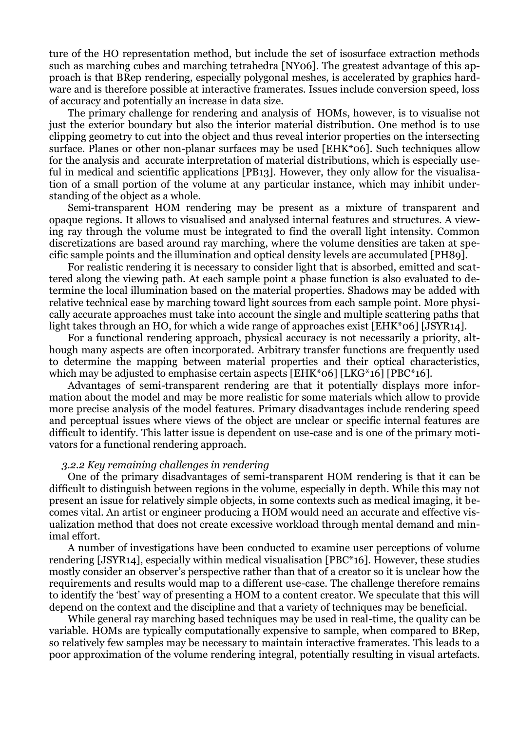ture of the HO representation method, but include the set of isosurface extraction methods such as marching cubes and marching tetrahedra [NY06]. The greatest advantage of this approach is that BRep rendering, especially polygonal meshes, is accelerated by graphics hardware and is therefore possible at interactive framerates. Issues include conversion speed, loss of accuracy and potentially an increase in data size.

The primary challenge for rendering and analysis of HOMs, however, is to visualise not just the exterior boundary but also the interior material distribution. One method is to use clipping geometry to cut into the object and thus reveal interior properties on the intersecting surface. Planes or other non-planar surfaces may be used [EHK\*06]. Such techniques allow for the analysis and accurate interpretation of material distributions, which is especially useful in medical and scientific applications [PB13]. However, they only allow for the visualisation of a small portion of the volume at any particular instance, which may inhibit understanding of the object as a whole.

Semi-transparent HOM rendering may be present as a mixture of transparent and opaque regions. It allows to visualised and analysed internal features and structures. A viewing ray through the volume must be integrated to find the overall light intensity. Common discretizations are based around ray marching, where the volume densities are taken at specific sample points and the illumination and optical density levels are accumulated [PH89].

For realistic rendering it is necessary to consider light that is absorbed, emitted and scattered along the viewing path. At each sample point a phase function is also evaluated to determine the local illumination based on the material properties. Shadows may be added with relative technical ease by marching toward light sources from each sample point. More physically accurate approaches must take into account the single and multiple scattering paths that light takes through an HO, for which a wide range of approaches exist [EHK\*06] [JSYR14].

For a functional rendering approach, physical accuracy is not necessarily a priority, although many aspects are often incorporated. Arbitrary transfer functions are frequently used to determine the mapping between material properties and their optical characteristics, which may be adjusted to emphasise certain aspects [EHK\*06] [LKG\*16] [PBC\*16].

Advantages of semi-transparent rendering are that it potentially displays more information about the model and may be more realistic for some materials which allow to provide more precise analysis of the model features. Primary disadvantages include rendering speed and perceptual issues where views of the object are unclear or specific internal features are difficult to identify. This latter issue is dependent on use-case and is one of the primary motivators for a functional rendering approach.

#### *3.2.2 Key remaining challenges in rendering*

One of the primary disadvantages of semi-transparent HOM rendering is that it can be difficult to distinguish between regions in the volume, especially in depth. While this may not present an issue for relatively simple objects, in some contexts such as medical imaging, it becomes vital. An artist or engineer producing a HOM would need an accurate and effective visualization method that does not create excessive workload through mental demand and minimal effort.

A number of investigations have been conducted to examine user perceptions of volume rendering [JSYR14], especially within medical visualisation [PBC\*16]. However, these studies mostly consider an observer's perspective rather than that of a creator so it is unclear how the requirements and results would map to a different use-case. The challenge therefore remains to identify the 'best' way of presenting a HOM to a content creator. We speculate that this will depend on the context and the discipline and that a variety of techniques may be beneficial.

While general ray marching based techniques may be used in real-time, the quality can be variable. HOMs are typically computationally expensive to sample, when compared to BRep, so relatively few samples may be necessary to maintain interactive framerates. This leads to a poor approximation of the volume rendering integral, potentially resulting in visual artefacts.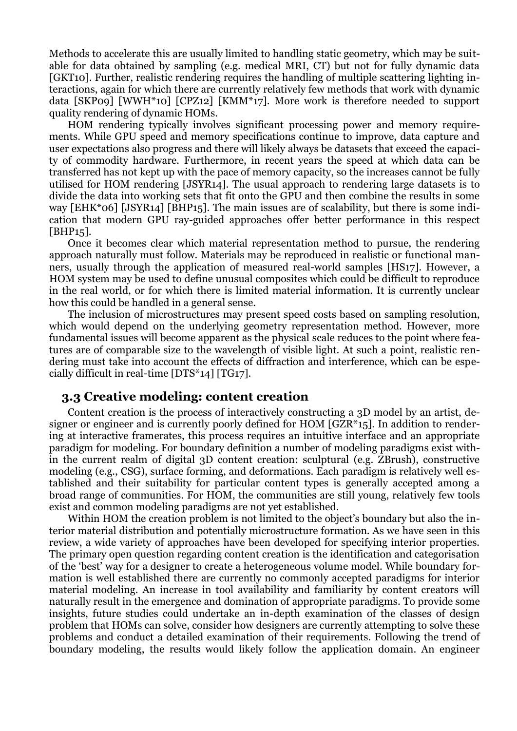Methods to accelerate this are usually limited to handling static geometry, which may be suitable for data obtained by sampling (e.g. medical MRI, CT) but not for fully dynamic data [GKT10]. Further, realistic rendering requires the handling of multiple scattering lighting interactions, again for which there are currently relatively few methods that work with dynamic data [SKP09] [WWH\*10] [CPZ12] [KMM\*17]. More work is therefore needed to support quality rendering of dynamic HOMs.

HOM rendering typically involves significant processing power and memory requirements. While GPU speed and memory specifications continue to improve, data capture and user expectations also progress and there will likely always be datasets that exceed the capacity of commodity hardware. Furthermore, in recent years the speed at which data can be transferred has not kept up with the pace of memory capacity, so the increases cannot be fully utilised for HOM rendering [JSYR14]. The usual approach to rendering large datasets is to divide the data into working sets that fit onto the GPU and then combine the results in some way [EHK\*06] [JSYR14] [BHP15]. The main issues are of scalability, but there is some indication that modern GPU ray-guided approaches offer better performance in this respect [BHP15].

Once it becomes clear which material representation method to pursue, the rendering approach naturally must follow. Materials may be reproduced in realistic or functional manners, usually through the application of measured real-world samples [HS17]. However, a HOM system may be used to define unusual composites which could be difficult to reproduce in the real world, or for which there is limited material information. It is currently unclear how this could be handled in a general sense.

The inclusion of microstructures may present speed costs based on sampling resolution, which would depend on the underlying geometry representation method. However, more fundamental issues will become apparent as the physical scale reduces to the point where features are of comparable size to the wavelength of visible light. At such a point, realistic rendering must take into account the effects of diffraction and interference, which can be especially difficult in real-time [DTS\*14] [TG17].

## **3.3 Creative modeling: content creation**

Content creation is the process of interactively constructing a 3D model by an artist, designer or engineer and is currently poorly defined for HOM [GZR\*15]. In addition to rendering at interactive framerates, this process requires an intuitive interface and an appropriate paradigm for modeling. For boundary definition a number of modeling paradigms exist within the current realm of digital 3D content creation: sculptural (e.g. ZBrush), constructive modeling (e.g., CSG), surface forming, and deformations. Each paradigm is relatively well established and their suitability for particular content types is generally accepted among a broad range of communities. For HOM, the communities are still young, relatively few tools exist and common modeling paradigms are not yet established.

Within HOM the creation problem is not limited to the object's boundary but also the interior material distribution and potentially microstructure formation. As we have seen in this review, a wide variety of approaches have been developed for specifying interior properties. The primary open question regarding content creation is the identification and categorisation of the 'best' way for a designer to create a heterogeneous volume model. While boundary formation is well established there are currently no commonly accepted paradigms for interior material modeling. An increase in tool availability and familiarity by content creators will naturally result in the emergence and domination of appropriate paradigms. To provide some insights, future studies could undertake an in-depth examination of the classes of design problem that HOMs can solve, consider how designers are currently attempting to solve these problems and conduct a detailed examination of their requirements. Following the trend of boundary modeling, the results would likely follow the application domain. An engineer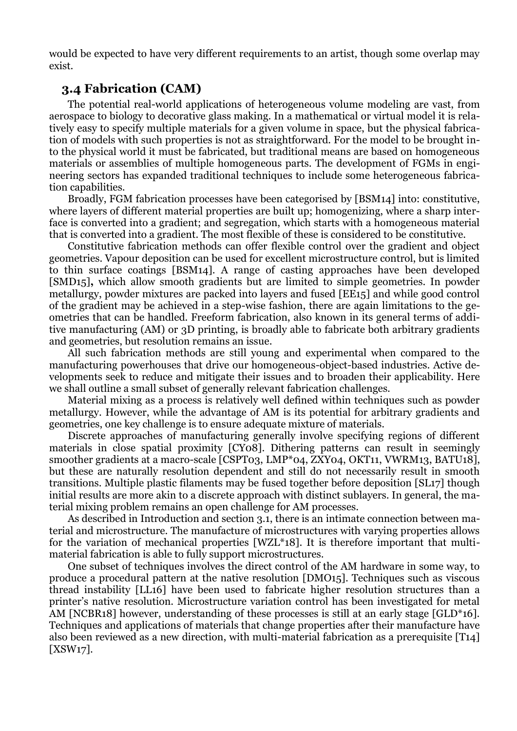would be expected to have very different requirements to an artist, though some overlap may exist.

# **3.4 Fabrication (CAM)**

The potential real-world applications of heterogeneous volume modeling are vast, from aerospace to biology to decorative glass making. In a mathematical or virtual model it is relatively easy to specify multiple materials for a given volume in space, but the physical fabrication of models with such properties is not as straightforward. For the model to be brought into the physical world it must be fabricated, but traditional means are based on homogeneous materials or assemblies of multiple homogeneous parts. The development of FGMs in engineering sectors has expanded traditional techniques to include some heterogeneous fabrication capabilities.

Broadly, FGM fabrication processes have been categorised by [BSM14] into: constitutive, where layers of different material properties are built up; homogenizing, where a sharp interface is converted into a gradient; and segregation, which starts with a homogeneous material that is converted into a gradient. The most flexible of these is considered to be constitutive.

Constitutive fabrication methods can offer flexible control over the gradient and object geometries. Vapour deposition can be used for excellent microstructure control, but is limited to thin surface coatings [BSM14]. A range of casting approaches have been developed [SMD15]**,** which allow smooth gradients but are limited to simple geometries. In powder metallurgy, powder mixtures are packed into layers and fused [EE15] and while good control of the gradient may be achieved in a step-wise fashion, there are again limitations to the geometries that can be handled. Freeform fabrication, also known in its general terms of additive manufacturing (AM) or 3D printing, is broadly able to fabricate both arbitrary gradients and geometries, but resolution remains an issue.

All such fabrication methods are still young and experimental when compared to the manufacturing powerhouses that drive our homogeneous-object-based industries. Active developments seek to reduce and mitigate their issues and to broaden their applicability. Here we shall outline a small subset of generally relevant fabrication challenges.

Material mixing as a process is relatively well defined within techniques such as powder metallurgy. However, while the advantage of AM is its potential for arbitrary gradients and geometries, one key challenge is to ensure adequate mixture of materials.

Discrete approaches of manufacturing generally involve specifying regions of different materials in close spatial proximity [CY08]. Dithering patterns can result in seemingly smoother gradients at a macro-scale [CSPT03, LMP\*04, ZXY04, OKT11, VWRM13, BATU18], but these are naturally resolution dependent and still do not necessarily result in smooth transitions. Multiple plastic filaments may be fused together before deposition [SL17] though initial results are more akin to a discrete approach with distinct sublayers. In general, the material mixing problem remains an open challenge for AM processes.

As described in Introduction and section 3.1, there is an intimate connection between material and microstructure. The manufacture of microstructures with varying properties allows for the variation of mechanical properties [WZL\*18]. It is therefore important that multimaterial fabrication is able to fully support microstructures.

One subset of techniques involves the direct control of the AM hardware in some way, to produce a procedural pattern at the native resolution [DMO15]. Techniques such as viscous thread instability [LL16] have been used to fabricate higher resolution structures than a printer's native resolution. Microstructure variation control has been investigated for metal AM [NCBR18] however, understanding of these processes is still at an early stage [GLD\*16]. Techniques and applications of materials that change properties after their manufacture have also been reviewed as a new direction, with multi-material fabrication as a prerequisite [T14] [XSW17].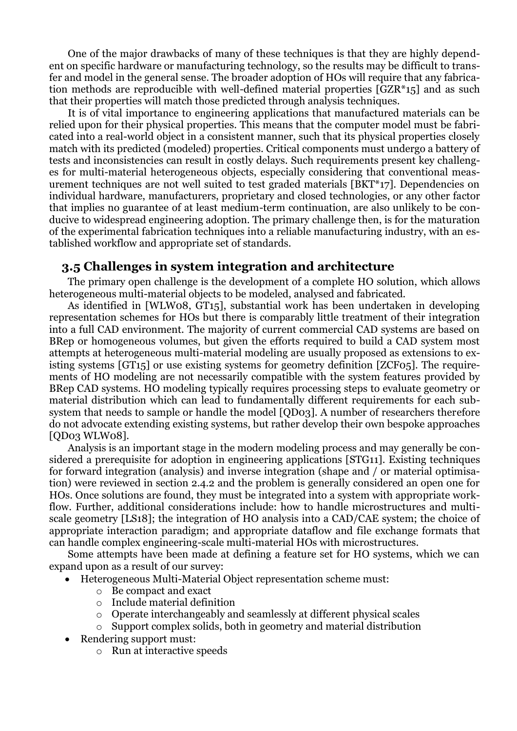One of the major drawbacks of many of these techniques is that they are highly dependent on specific hardware or manufacturing technology, so the results may be difficult to transfer and model in the general sense. The broader adoption of HOs will require that any fabrication methods are reproducible with well-defined material properties [GZR\*15] and as such that their properties will match those predicted through analysis techniques.

It is of vital importance to engineering applications that manufactured materials can be relied upon for their physical properties. This means that the computer model must be fabricated into a real-world object in a consistent manner, such that its physical properties closely match with its predicted (modeled) properties. Critical components must undergo a battery of tests and inconsistencies can result in costly delays. Such requirements present key challenges for multi-material heterogeneous objects, especially considering that conventional measurement techniques are not well suited to test graded materials [BKT\*17]. Dependencies on individual hardware, manufacturers, proprietary and closed technologies, or any other factor that implies no guarantee of at least medium-term continuation, are also unlikely to be conducive to widespread engineering adoption. The primary challenge then, is for the maturation of the experimental fabrication techniques into a reliable manufacturing industry, with an established workflow and appropriate set of standards.

# **3.5 Challenges in system integration and architecture**

The primary open challenge is the development of a complete HO solution, which allows heterogeneous multi-material objects to be modeled, analysed and fabricated.

As identified in [WLW08, GT15], substantial work has been undertaken in developing representation schemes for HOs but there is comparably little treatment of their integration into a full CAD environment. The majority of current commercial CAD systems are based on BRep or homogeneous volumes, but given the efforts required to build a CAD system most attempts at heterogeneous multi-material modeling are usually proposed as extensions to existing systems [GT15] or use existing systems for geometry definition [ZCF05]. The requirements of HO modeling are not necessarily compatible with the system features provided by BRep CAD systems. HO modeling typically requires processing steps to evaluate geometry or material distribution which can lead to fundamentally different requirements for each subsystem that needs to sample or handle the model [QD03]. A number of researchers therefore do not advocate extending existing systems, but rather develop their own bespoke approaches [QD03 WLW08].

Analysis is an important stage in the modern modeling process and may generally be considered a prerequisite for adoption in engineering applications [STG11]. Existing techniques for forward integration (analysis) and inverse integration (shape and / or material optimisation) were reviewed in section 2.4.2 and the problem is generally considered an open one for HOs. Once solutions are found, they must be integrated into a system with appropriate workflow. Further, additional considerations include: how to handle microstructures and multiscale geometry [LS18]; the integration of HO analysis into a CAD/CAE system; the choice of appropriate interaction paradigm; and appropriate dataflow and file exchange formats that can handle complex engineering-scale multi-material HOs with microstructures.

Some attempts have been made at defining a feature set for HO systems, which we can expand upon as a result of our survey:

- Heterogeneous Multi-Material Object representation scheme must:
	- o Be compact and exact
	- o Include material definition
	- o Operate interchangeably and seamlessly at different physical scales
	- o Support complex solids, both in geometry and material distribution
- Rendering support must:
	- o Run at interactive speeds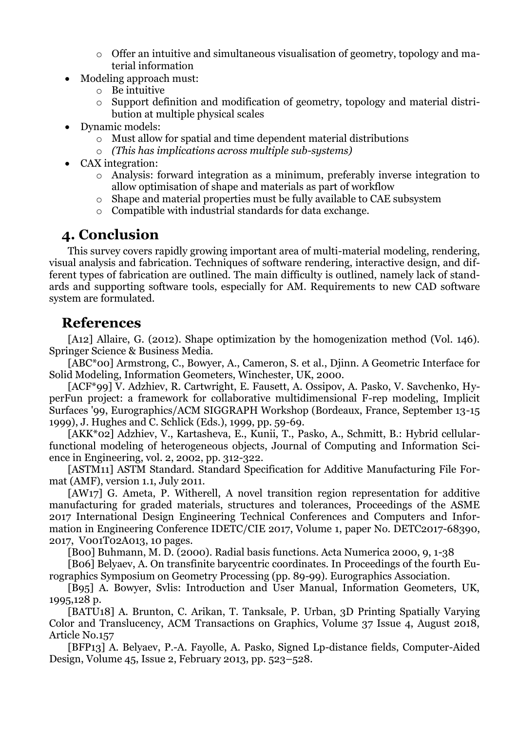- o Offer an intuitive and simultaneous visualisation of geometry, topology and material information
- Modeling approach must:
	- o Be intuitive
	- o Support definition and modification of geometry, topology and material distribution at multiple physical scales
- Dynamic models:
	- o Must allow for spatial and time dependent material distributions
	- o *(This has implications across multiple sub-systems)*
- CAX integration:
	- o Analysis: forward integration as a minimum, preferably inverse integration to allow optimisation of shape and materials as part of workflow
	- o Shape and material properties must be fully available to CAE subsystem
	- o Compatible with industrial standards for data exchange.

# **4. Conclusion**

This survey covers rapidly growing important area of multi-material modeling, rendering, visual analysis and fabrication. Techniques of software rendering, interactive design, and different types of fabrication are outlined. The main difficulty is outlined, namely lack of standards and supporting software tools, especially for AM. Requirements to new CAD software system are formulated.

# **References**

[A12] Allaire, G. (2012). Shape optimization by the homogenization method (Vol. 146). Springer Science & Business Media.

[ABC\*00] Armstrong, C., Bowyer, A., Cameron, S. et al., Djinn. A Geometric Interface for Solid Modeling, Information Geometers, Winchester, UK, 2000.

[ACF\*99] V. Adzhiev, R. Cartwright, E. Fausett, A. Ossipov, A. Pasko, V. Savchenko, HyperFun project: a framework for collaborative multidimensional F-rep modeling, Implicit Surfaces '99, Eurographics/ACM SIGGRAPH Workshop (Bordeaux, France, September 13-15 1999), J. Hughes and C. Schlick (Eds.), 1999, pp. 59-69.

[AKK\*02] Adzhiev, V., Kartasheva, E., Kunii, T., Pasko, A., Schmitt, B.: Hybrid cellularfunctional modeling of heterogeneous objects, Journal of Computing and Information Science in Engineering, vol. 2, 2002, pp. 312-322.

[ASTM11] ASTM Standard. Standard Specification for Additive Manufacturing File Format (AMF), version 1.1, July 2011.

[AW17] G. Ameta, P. Witherell, A novel transition region representation for additive manufacturing for graded materials, structures and tolerances, Proceedings of the ASME 2017 International Design Engineering Technical Conferences and Computers and Information in Engineering Conference IDETC/CIE 2017, Volume 1, paper No. DETC2017-68390, 2017, V001T02A013, 10 pages.

[B00] Buhmann, M. D. (2000). Radial basis functions. Acta Numerica 2000, 9, 1-38

[B06] Belyaev, A. On transfinite barycentric coordinates. In Proceedings of the fourth Eurographics Symposium on Geometry Processing (pp. 89-99). Eurographics Association.

[B95] A. Bowyer, Svlis: Introduction and User Manual, Information Geometers, UK, 1995,128 p.

[BATU18] A. Brunton, C. Arikan, T. Tanksale, P. Urban, 3D Printing Spatially Varying Color and Translucency, ACM Transactions on Graphics, Volume 37 Issue 4, August 2018, Article No.157

[BFP13] A. Belyaev, P.-A. Fayolle, A. Pasko, Signed Lp-distance fields, Computer-Aided Design, Volume 45, Issue 2, February 2013, pp. 523–528.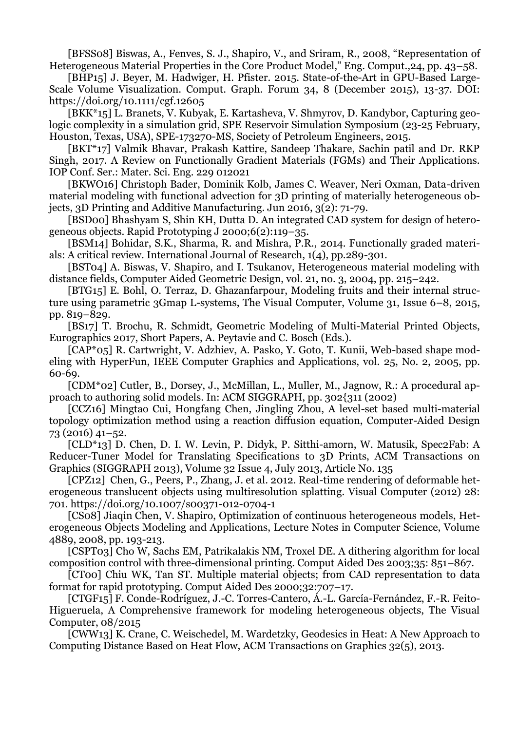[BFSS08] Biswas, A., Fenves, S. J., Shapiro, V., and Sriram, R., 2008, "Representation of Heterogeneous Material Properties in the Core Product Model," Eng. Comput.,24, pp. 43–58.

[BHP15] J. Beyer, M. Hadwiger, H. Pfister. 2015. State-of-the-Art in GPU-Based Large-Scale Volume Visualization. Comput. Graph. Forum 34, 8 (December 2015), 13-37. DOI: https://doi.org/10.1111/cgf.12605

[BKK\*15] L. Branets, V. Kubyak, E. Kartasheva, V. Shmyrov, D. Kandybor, Capturing geologic complexity in a simulation grid, SPE Reservoir Simulation Symposium (23-25 February, Houston, Texas, USA), SPE-173270-MS, Society of Petroleum Engineers, 2015.

[BKT\*17] Valmik Bhavar, Prakash Kattire, Sandeep Thakare, Sachin patil and Dr. RKP Singh, 2017. A Review on Functionally Gradient Materials (FGMs) and Their Applications. IOP Conf. Ser.: Mater. Sci. Eng. 229 012021

[BKWO16] Christoph Bader, Dominik Kolb, James C. Weaver, Neri Oxman, Data-driven material modeling with functional advection for 3D printing of materially heterogeneous objects, 3D Printing and Additive Manufacturing. Jun 2016, 3(2): 71-79.

[BSD00] Bhashyam S, Shin KH, Dutta D. An integrated CAD system for design of heterogeneous objects. Rapid Prototyping J 2000;6(2):119–35.

[BSM14] Bohidar, S.K., Sharma, R. and Mishra, P.R., 2014. Functionally graded materials: A critical review. International Journal of Research, 1(4), pp.289-301.

[BST04] A. Biswas, V. Shapiro, and I. Tsukanov, Heterogeneous material modeling with distance fields, Computer Aided Geometric Design, vol. 21, no. 3, 2004, pp. 215–242.

[BTG15] E. Bohl, O. Terraz, D. Ghazanfarpour, Modeling fruits and their internal structure using parametric 3Gmap L-systems, The Visual Computer, Volume 31, Issue 6–8, 2015, pp. 819–829.

[BS17] T. Brochu, R. Schmidt, Geometric Modeling of Multi-Material Printed Objects, Eurographics 2017, Short Papers, A. Peytavie and C. Bosch (Eds.).

[CAP\*05] R. Cartwright, V. Adzhiev, A. Pasko, Y. Goto, T. Kunii, Web-based shape modeling with HyperFun, IEEE Computer Graphics and Applications, vol. 25, No. 2, 2005, pp. 60-69.

[CDM\*02] Cutler, B., Dorsey, J., McMillan, L., Muller, M., Jagnow, R.: A procedural approach to authoring solid models. In: ACM SIGGRAPH, pp. 302{311 (2002)

[CCZ16] Mingtao Cui, Hongfang Chen, Jingling Zhou, A level-set based multi-material topology optimization method using a reaction diffusion equation, Computer-Aided Design 73 (2016) 41–52.

[CLD\*13] D. Chen, D. I. W. Levin, P. Didyk, P. Sitthi-amorn, W. Matusik, Spec2Fab: A Reducer-Tuner Model for Translating Specifications to 3D Prints, ACM Transactions on Graphics (SIGGRAPH 2013), Volume 32 Issue 4, July 2013, Article No. 135

[CPZ12] Chen, G., Peers, P., Zhang, J. et al. 2012. Real-time rendering of deformable heterogeneous translucent objects using multiresolution splatting. Visual Computer (2012) 28: 701. https://doi.org/10.1007/s00371-012-0704-1

[CS08] Jiaqin Chen, V. Shapiro, Optimization of continuous heterogeneous models, Heterogeneous Objects Modeling and Applications, Lecture Notes in Computer Science, Volume 4889, 2008, pp. 193-213.

[CSPT03] Cho W, Sachs EM, Patrikalakis NM, Troxel DE. A dithering algorithm for local composition control with three-dimensional printing. Comput Aided Des 2003;35: 851–867.

[CT00] Chiu WK, Tan ST. Multiple material objects; from CAD representation to data format for rapid prototyping. Comput Aided Des 2000;32:707–17.

[CTGF15] F. Conde-Rodríguez, J.-C. Torres-Cantero, Á.-L. García-Fernández, F.-R. Feito-Higueruela, A Comprehensive framework for modeling heterogeneous objects, The Visual Computer, 08/2015

[CWW13] K. Crane, C. Weischedel, M. Wardetzky, Geodesics in Heat: A New Approach to Computing Distance Based on Heat Flow, ACM Transactions on Graphics 32(5), 2013.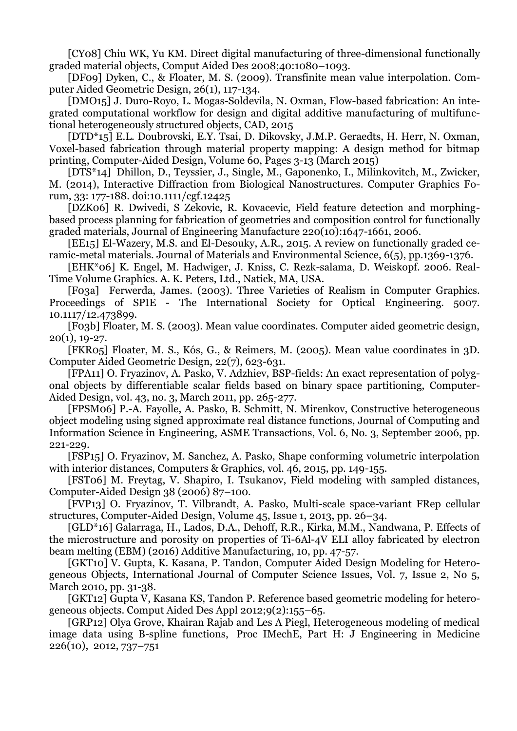[CY08] Chiu WK, Yu KM. Direct digital manufacturing of three-dimensional functionally graded material objects, Comput Aided Des 2008;40:1080–1093.

[DF09] Dyken, C., & Floater, M. S. (2009). Transfinite mean value interpolation. Computer Aided Geometric Design, 26(1), 117-134.

[DMO15] J. Duro-Royo, L. Mogas-Soldevila, N. Oxman, Flow-based fabrication: An integrated computational workflow for design and digital additive manufacturing of multifunctional heterogeneously structured objects, CAD, 2015

[DTD\*15] E.L. Doubrovski, E.Y. Tsai, D. Dikovsky, J.M.P. Geraedts, H. Herr, N. Oxman, Voxel-based fabrication through material property mapping: A design method for bitmap printing, Computer-Aided Design, Volume 60, Pages 3-13 (March 2015)

[DTS\*14] Dhillon, D., Teyssier, J., Single, M., Gaponenko, I., Milinkovitch, M., Zwicker, M. (2014), Interactive Diffraction from Biological Nanostructures. Computer Graphics Forum, 33: 177-188. doi:10.1111/cgf.12425

[DZK06] R. Dwivedi, S Zekovic, R. Kovacevic, Field feature detection and morphingbased process planning for fabrication of geometries and composition control for functionally graded materials, Journal of Engineering Manufacture 220(10):1647-1661, 2006.

[EE15] El-Wazery, M.S. and El-Desouky, A.R., 2015. A review on functionally graded ceramic-metal materials. Journal of Materials and Environmental Science, 6(5), pp.1369-1376.

[EHK\*06] K. Engel, M. Hadwiger, J. Kniss, C. Rezk-salama, D. Weiskopf. 2006. Real-Time Volume Graphics. A. K. Peters, Ltd., Natick, MA, USA.

[F03a] Ferwerda, James. (2003). Three Varieties of Realism in Computer Graphics. Proceedings of SPIE - The International Society for Optical Engineering. 5007. 10.1117/12.473899.

[F03b] Floater, M. S. (2003). Mean value coordinates. Computer aided geometric design, 20(1), 19-27.

[FKR05] Floater, M. S., Kós, G., & Reimers, M. (2005). Mean value coordinates in 3D. Computer Aided Geometric Design, 22(7), 623-631.

[FPA11] O. Fryazinov, A. Pasko, V. Adzhiev, BSP-fields: An exact representation of polygonal objects by differentiable scalar fields based on binary space partitioning, Computer-Aided Design, vol. 43, no. 3, March 2011, pp. 265-277.

[FPSM06] P.-A. Fayolle, A. Pasko, B. Schmitt, N. Mirenkov, Constructive heterogeneous object modeling using signed approximate real distance functions, Journal of Computing and Information Science in Engineering, ASME Transactions, Vol. 6, No. 3, September 2006, pp. 221-229.

[FSP15] O. Fryazinov, M. Sanchez, A. Pasko, Shape conforming volumetric interpolation with interior distances, Computers & Graphics, vol. 46, 2015, pp. 149-155.

[FST06] M. Freytag, V. Shapiro, I. Tsukanov, Field modeling with sampled distances, Computer-Aided Design 38 (2006) 87–100.

[FVP13] O. Fryazinov, T. Vilbrandt, A. Pasko, Multi-scale space-variant FRep cellular structures, Computer-Aided Design, Volume 45, Issue 1, 2013, pp. 26–34.

[GLD\*16] Galarraga, H., Lados, D.A., Dehoff, R.R., Kirka, M.M., Nandwana, P. Effects of the microstructure and porosity on properties of Ti-6Al-4V ELI alloy fabricated by electron beam melting (EBM) (2016) Additive Manufacturing, 10, pp. 47-57.

[GKT10] V. Gupta, K. Kasana, P. Tandon, Computer Aided Design Modeling for Heterogeneous Objects, International Journal of Computer Science Issues, Vol. 7, Issue 2, No 5, March 2010, pp. 31-38.

[GKT12] Gupta V, Kasana KS, Tandon P. Reference based geometric modeling for heterogeneous objects. Comput Aided Des Appl 2012;9(2):155–65.

[GRP12] Olya Grove, Khairan Rajab and Les A Piegl, Heterogeneous modeling of medical image data using B-spline functions, Proc IMechE, Part H: J Engineering in Medicine 226(10), 2012, 737–751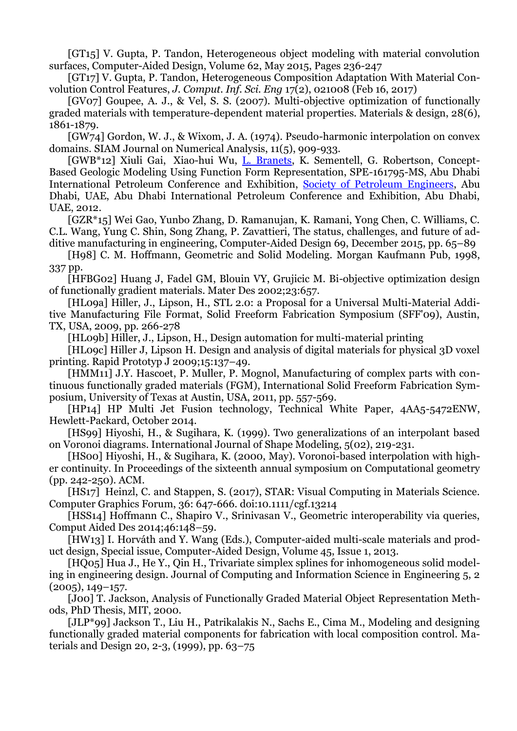[GT15] V. Gupta, P. Tandon, Heterogeneous object modeling with material convolution surfaces, Computer-Aided Design, Volume 62, May 2015, Pages 236-247

[GT17] V. Gupta, P. Tandon, Heterogeneous Composition Adaptation With Material Convolution Control Features, *J. Comput. Inf. Sci. Eng* 17(2), 021008 (Feb 16, 2017)

[GV07] Goupee, A. J., & Vel, S. S. (2007). Multi-objective optimization of functionally graded materials with temperature-dependent material properties. Materials & design, 28(6), 1861-1879.

[GW74] Gordon, W. J., & Wixom, J. A. (1974). Pseudo-harmonic interpolation on convex domains. SIAM Journal on Numerical Analysis, 11(5), 909-933.

[GWB\*12] Xiuli Gai, Xiao-hui Wu, [L. Branets,](https://www.onepetro.org/search?q=dc_creator%3A%28%22Branets%2C+Larisa%22%29) K. Sementell, G. Robertson, Concept-Based Geologic Modeling Using Function Form Representation, SPE-161795-MS, Abu Dhabi International Petroleum Conference and Exhibition, [Society of Petroleum Engineers,](https://www.onepetro.org/search?q=dc_publisher%3A%28%22Society+of+Petroleum+Engineers%22%29) Abu Dhabi, UAE, Abu Dhabi International Petroleum Conference and Exhibition, Abu Dhabi, UAE, 2012.

[GZR\*15] Wei Gao, Yunbo Zhang, D. Ramanujan, K. Ramani, Yong Chen, C. Williams, C. C.L. Wang, Yung C. Shin, Song Zhang, P. Zavattieri, The status, challenges, and future of additive manufacturing in engineering, Computer-Aided Design 69, December 2015, pp. 65–89

[H98] C. M. Hoffmann, Geometric and Solid Modeling. Morgan Kaufmann Pub, 1998, 337 pp.

[HFBG02] Huang J, Fadel GM, Blouin VY, Grujicic M. Bi-objective optimization design of functionally gradient materials. Mater Des 2002;23:657.

[HL09a] Hiller, J., Lipson, H., STL 2.0: a Proposal for a Universal Multi-Material Additive Manufacturing File Format, Solid Freeform Fabrication Symposium (SFF'09), Austin, TX, USA, 2009, pp. 266-278

[HL09b] Hiller, J., Lipson, H., Design automation for multi-material printing

[HL09c] Hiller J, Lipson H. Design and analysis of digital materials for physical 3D voxel printing. Rapid Prototyp J 2009;15:137–49.

[HMM11] J.Y. Hascoet, P. Muller, P. Mognol, Manufacturing of complex parts with continuous functionally graded materials (FGM), International Solid Freeform Fabrication Symposium, University of Texas at Austin, USA, 2011, pp. 557-569.

[HP14] HP Multi Jet Fusion technology, Technical White Paper, 4AA5-5472ENW, Hewlett-Packard, October 2014.

[HS99] Hiyoshi, H., & Sugihara, K. (1999). Two generalizations of an interpolant based on Voronoi diagrams. International Journal of Shape Modeling, 5(02), 219-231.

[HS00] Hiyoshi, H., & Sugihara, K. (2000, May). Voronoi-based interpolation with higher continuity. In Proceedings of the sixteenth annual symposium on Computational geometry (pp. 242-250). ACM.

[HS17] Heinzl, C. and Stappen, S. (2017), STAR: Visual Computing in Materials Science. Computer Graphics Forum, 36: 647-666. doi:10.1111/cgf.13214

[HSS14] Hoffmann C., Shapiro V., Srinivasan V., Geometric interoperability via queries, Comput Aided Des 2014;46:148–59.

[HW13] I. Horváth and Y. Wang (Eds.), Computer-aided multi-scale materials and product design, Special issue, Computer-Aided Design, Volume 45, Issue 1, 2013.

[HQ05] Hua J., He Y., Qin H., Trivariate simplex splines for inhomogeneous solid modeling in engineering design. Journal of Computing and Information Science in Engineering 5, 2 (2005), 149–157.

[Joo] T. Jackson, Analysis of Functionally Graded Material Object Representation Methods, PhD Thesis, MIT, 2000.

[JLP\*99] Jackson T., Liu H., Patrikalakis N., Sachs E., Cima M., Modeling and designing functionally graded material components for fabrication with local composition control. Materials and Design 20, 2-3, (1999), pp. 63–75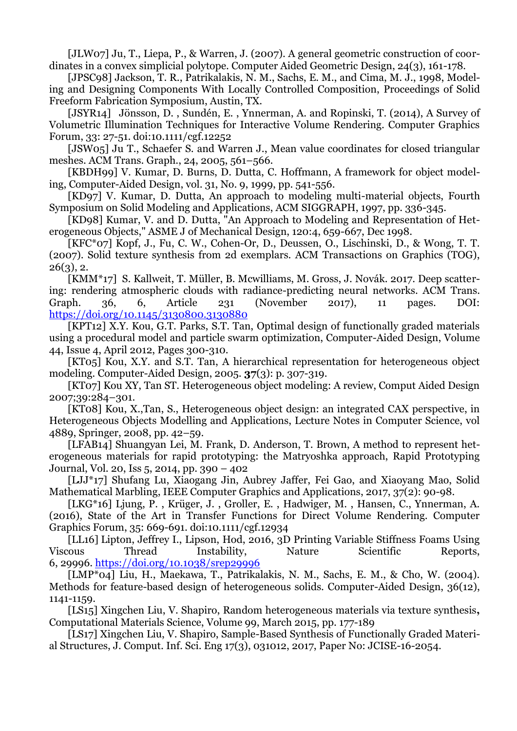[JLW07] Ju, T., Liepa, P., & Warren, J. (2007). A general geometric construction of coordinates in a convex simplicial polytope. Computer Aided Geometric Design, 24(3), 161-178.

[JPSC98] Jackson, T. R., Patrikalakis, N. M., Sachs, E. M., and Cima, M. J., 1998, Modeling and Designing Components With Locally Controlled Composition, Proceedings of Solid Freeform Fabrication Symposium, Austin, TX.

[JSYR14] Jönsson, D. , Sundén, E. , Ynnerman, A. and Ropinski, T. (2014), A Survey of Volumetric Illumination Techniques for Interactive Volume Rendering. Computer Graphics Forum, 33: 27-51. doi:10.1111/cgf.12252

[JSW05] Ju T., Schaefer S. and Warren J., Mean value coordinates for closed triangular meshes. ACM Trans. Graph., 24, 2005, 561–566.

[KBDH99] V. Kumar, D. Burns, D. Dutta, C. Hoffmann, A framework for object modeling, Computer-Aided Design, vol. 31, No. 9, 1999, pp. 541-556.

[KD97] V. Kumar, D. Dutta, An approach to modeling multi-material objects, Fourth Symposium on Solid Modeling and Applications, ACM SIGGRAPH, 1997, pp. 336-345.

[KD98] Kumar, V. and D. Dutta, "An Approach to Modeling and Representation of Heterogeneous Objects," ASME J of Mechanical Design, 120:4, 659-667, Dec 1998.

[KFC\*07] Kopf, J., Fu, C. W., Cohen-Or, D., Deussen, O., Lischinski, D., & Wong, T. T. (2007). Solid texture synthesis from 2d exemplars. ACM Transactions on Graphics (TOG),  $26(3)$ , 2.

[KMM\*17] S. Kallweit, T. Müller, B. Mcwilliams, M. Gross, J. Novák. 2017. Deep scattering: rendering atmospheric clouds with radiance-predicting neural networks. ACM Trans. Graph. 36, 6, Article 231 (November 2017), 11 pages. DOI: <https://doi.org/10.1145/3130800.3130880>

[KPT12] X.Y. Kou, G.T. Parks, S.T. Tan, Optimal design of functionally graded materials using a procedural model and particle swarm optimization, Computer-Aided Design, Volume 44, Issue 4, April 2012, Pages 300-310.

[KT05] Kou, X.Y. and S.T. Tan, A hierarchical representation for heterogeneous object modeling*.* Computer-Aided Design, 2005. **37**(3): p. 307-319.

[KT07] Kou XY, Tan ST. Heterogeneous object modeling: A review, Comput Aided Design 2007;39:284–301.

[KT08] Kou, X.,Tan, S., Heterogeneous object design: an integrated CAX perspective, in Heterogeneous Objects Modelling and Applications, Lecture Notes in Computer Science, vol 4889, Springer, 2008, pp. 42–59.

[LFAB14] Shuangyan Lei, M. Frank, D. Anderson, T. Brown, A method to represent heterogeneous materials for rapid prototyping: the Matryoshka approach, Rapid Prototyping Journal, Vol. 20, Iss 5, 2014, pp. 390 – 402

[LJJ\*17] Shufang Lu, Xiaogang Jin, Aubrey Jaffer, Fei Gao, and Xiaoyang Mao, Solid Mathematical Marbling, IEEE Computer Graphics and Applications, 2017, 37(2): 90-98.

[LKG\*16] Ljung, P. , Krüger, J. , Groller, E. , Hadwiger, M. , Hansen, C., Ynnerman, A. (2016), State of the Art in Transfer Functions for Direct Volume Rendering. Computer Graphics Forum, 35: 669-691. doi:10.1111/cgf.12934

[LL16] Lipton, Jeffrey I., Lipson, Hod, 2016, 3D Printing Variable Stiffness Foams Using Viscous Thread Instability, Nature Scientific Reports, 6, 29996. <https://doi.org/10.1038/srep29996>

[LMP\*04] Liu, H., Maekawa, T., Patrikalakis, N. M., Sachs, E. M., & Cho, W. (2004). Methods for feature-based design of heterogeneous solids. Computer-Aided Design, 36(12), 1141-1159.

[LS15] Xingchen Liu, V. Shapiro, Random heterogeneous materials via texture synthesis**,**  Computational Materials Science, Volume 99, March 2015, pp. 177-189

[LS17] Xingchen Liu, V. Shapiro, Sample-Based Synthesis of Functionally Graded Material Structures, J. Comput. Inf. Sci. Eng 17(3), 031012, 2017, Paper No: JCISE-16-2054.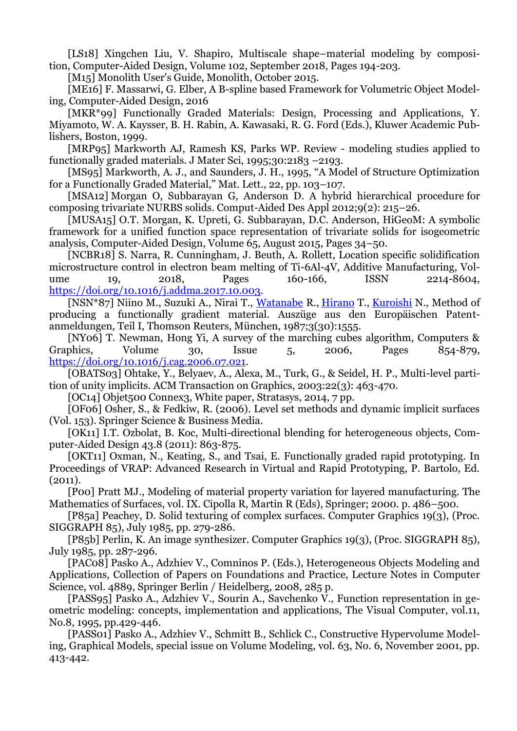[LS18] Xingchen Liu, V. Shapiro, Multiscale shape–material modeling by composition, Computer-Aided Design, Volume 102, September 2018, Pages 194-203.

[M<sub>15</sub>] Monolith User's Guide, Monolith, October 2015.

[ME16] F. Massarwi, G. Elber, A B-spline based Framework for Volumetric Object Modeling, Computer-Aided Design, 2016

[MKR\*99] Functionally Graded Materials: Design, Processing and Applications, Y. Miyamoto, W. A. Kaysser, B. H. Rabin, A. Kawasaki, R. G. Ford (Eds.), Kluwer Academic Publishers, Boston, 1999.

[MRP95] Markworth AJ, Ramesh KS, Parks WP. Review - modeling studies applied to functionally graded materials. J Mater Sci, 1995;30:2183 –2193.

[MS95] Markworth, A. J., and Saunders, J. H., 1995, "A Model of Structure Optimization for a Functionally Graded Material," Mat. Lett., 22, pp. 103–107.

[MSA12] Morgan O, Subbarayan G, Anderson D. A hybrid hierarchical procedure for composing trivariate NURBS solids. Comput-Aided Des Appl 2012;9(2): 215–26.

[MUSA15] O.T. Morgan, K. Upreti, G. Subbarayan, D.C. Anderson, HiGeoM: A symbolic framework for a unified function space representation of trivariate solids for isogeometric analysis, Computer-Aided Design, Volume 65, August 2015, Pages 34–50.

[NCBR18] S. Narra, R. Cunningham, J. Beuth, A. Rollett, Location specific solidification microstructure control in electron beam melting of Ti-6Al-4V, Additive Manufacturing, Volume 19, 2018, Pages 160-166, ISSN 2214-8604, [https://doi.org/10.1016/j.addma.2017.10.003.](https://doi.org/10.1016/j.addma.2017.10.003)

[NSN\*87] Niino M., Suzuki A., Nirai T., [Watanabe](http://www.google.com/search?tbo=p&tbm=pts&hl=en&q=ininventor:%22Ryuzo+Watanabe%22) R., [Hirano](http://www.google.com/search?tbo=p&tbm=pts&hl=en&q=ininventor:%22Tohru+Hirano%22) T., [Kuroishi](http://www.google.com/search?tbo=p&tbm=pts&hl=en&q=ininventor:%22Nobuhito+Kuroishi%22) N., Method of producing a functionally gradient material. Auszüge aus den Europäischen Patentanmeldungen, Teil I, Thomson Reuters, München, 1987;3(30):1555.

[NY06] T. Newman, Hong Yi, A survey of the marching cubes algorithm, Computers & Graphics, Volume 30, Issue 5, 2006, Pages 854-879, [https://doi.org/10.1016/j.cag.2006.07.021.](https://doi.org/10.1016/j.cag.2006.07.021)

[OBATS03] Ohtake, Y., Belyaev, A., Alexa, M., Turk, G., & Seidel, H. P., Multi-level partition of unity implicits. ACM Transaction on Graphics, 2003:22(3): 463-470.

[OC14] Objet500 Connex3, White paper, Stratasys, 2014, 7 pp.

[OF06] Osher, S., & Fedkiw, R. (2006). Level set methods and dynamic implicit surfaces (Vol. 153). Springer Science & Business Media.

[OK11] I.T. Ozbolat, B. Koc, Multi-directional blending for heterogeneous objects, Computer-Aided Design 43.8 (2011): 863-875.

[OKT11] Oxman, N., Keating, S., and Tsai, E. Functionally graded rapid prototyping. In Proceedings of VRAP: Advanced Research in Virtual and Rapid Prototyping, P. Bartolo, Ed. (2011).

[P00] Pratt MJ., Modeling of material property variation for layered manufacturing. The Mathematics of Surfaces, vol. IX. Cipolla R, Martin R (Eds), Springer; 2000. p. 486–500.

[P85a] Peachey, D. Solid texturing of complex surfaces. Computer Graphics 19(3), (Proc. SIGGRAPH 85), July 1985, pp. 279-286.

[P85b] Perlin, K. An image synthesizer. Computer Graphics 19(3), (Proc. SIGGRAPH 85), July 1985, pp. 287-296.

[PAC08] Pasko A., Adzhiev V., Comninos P. (Eds.), Heterogeneous Objects Modeling and Applications, Collection of Papers on Foundations and Practice, Lecture Notes in Computer Science, vol. 4889, Springer Berlin / Heidelberg, 2008, 285 p.

[PASS95] Pasko A., Adzhiev V., Sourin A., Savchenko V., Function representation in geometric modeling: concepts, implementation and applications, The Visual Computer, vol.11, No.8, 1995, pp.429-446.

[PASS01] Pasko A., Adzhiev V., Schmitt B., Schlick C., Constructive Hypervolume Modeling, Graphical Models, special issue on Volume Modeling, vol. 63, No. 6, November 2001, pp. 413-442.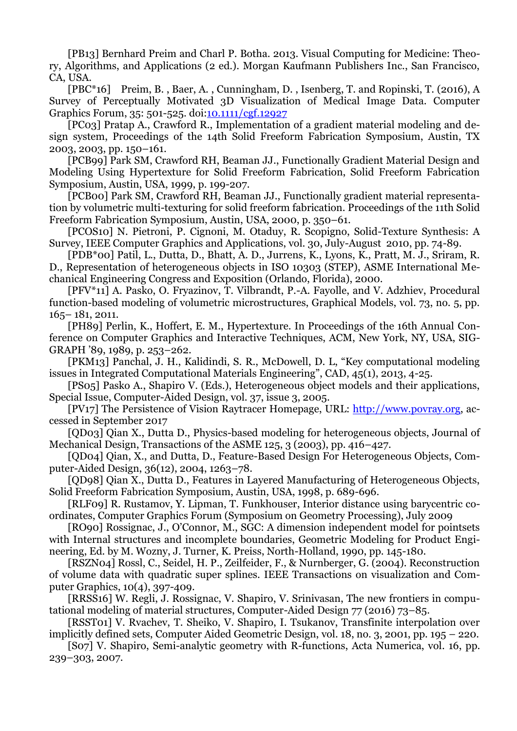[PB13] Bernhard Preim and Charl P. Botha. 2013. Visual Computing for Medicine: Theory, Algorithms, and Applications (2 ed.). Morgan Kaufmann Publishers Inc., San Francisco, CA, USA.

[PBC\*16] Preim, B. , Baer, A. , Cunningham, D. , Isenberg, T. and Ropinski, T. (2016), A Survey of Perceptually Motivated 3D Visualization of Medical Image Data. Computer Graphics Forum, 35: 501-525. doi[:10.1111/cgf.12927](https://doi.org/10.1111/cgf.12927)

[PC03] Pratap A., Crawford R., Implementation of a gradient material modeling and design system, Proceedings of the 14th Solid Freeform Fabrication Symposium, Austin, TX 2003, 2003, pp. 150–161.

[PCB99] Park SM, Crawford RH, Beaman JJ., Functionally Gradient Material Design and Modeling Using Hypertexture for Solid Freeform Fabrication, Solid Freeform Fabrication Symposium, Austin, USA, 1999, p. 199-207.

[PCB00] Park SM, Crawford RH, Beaman JJ., Functionally gradient material representation by volumetric multi-texturing for solid freeform fabrication. Proceedings of the 11th Solid Freeform Fabrication Symposium, Austin, USA, 2000, p. 350–61.

[PCOS10] N. Pietroni, P. Cignoni, M. Otaduy, R. Scopigno, Solid-Texture Synthesis: A Survey, IEEE Computer Graphics and Applications, vol. 30, July-August 2010, pp. 74-89.

[PDB\*00] Patil, L., Dutta, D., Bhatt, A. D., Jurrens, K., Lyons, K., Pratt, M. J., Sriram, R. D., Representation of heterogeneous objects in ISO 10303 (STEP), ASME International Mechanical Engineering Congress and Exposition (Orlando, Florida), 2000.

[PFV\*11] A. Pasko, O. Fryazinov, T. Vilbrandt, P.-A. Fayolle, and V. Adzhiev, Procedural function-based modeling of volumetric microstructures, Graphical Models, vol. 73, no. 5, pp. 165– 181, 2011.

[PH89] Perlin, K., Hoffert, E. M., Hypertexture. In Proceedings of the 16th Annual Conference on Computer Graphics and Interactive Techniques, ACM, New York, NY, USA, SIG-GRAPH '89, 1989, p. 253–262.

[PKM13] Panchal, J. H., Kalidindi, S. R., McDowell, D. L, "Key computational modeling issues in Integrated Computational Materials Engineering", CAD, 45(1), 2013, 4-25.

[PS05] Pasko A., Shapiro V. (Eds.), Heterogeneous object models and their applications, Special Issue, Computer-Aided Design, vol. 37, issue 3, 2005.

[PV17] The Persistence of Vision Raytracer Homepage, URL: [http://www.povray.org,](http://www.povray.org/) accessed in September 2017

[QD03] Qian X., Dutta D., Physics-based modeling for heterogeneous objects, Journal of Mechanical Design, Transactions of the ASME 125, 3 (2003), pp. 416–427.

[QD04] Qian, X., and Dutta, D., Feature-Based Design For Heterogeneous Objects, Computer-Aided Design, 36(12), 2004, 1263–78.

[QD98] Qian X., Dutta D., Features in Layered Manufacturing of Heterogeneous Objects, Solid Freeform Fabrication Symposium, Austin, USA, 1998, p. 689-696.

[RLF09] R. Rustamov, Y. Lipman, T. Funkhouser, Interior distance using barycentric coordinates, Computer Graphics Forum (Symposium on Geometry Processing), July 2009

[RO90] Rossignac, J., O'Connor, M., SGC: A dimension independent model for pointsets with Internal structures and incomplete boundaries, Geometric Modeling for Product Engineering, Ed. by M. Wozny, J. Turner, K. Preiss, North-Holland, 1990, pp. 145-180.

[RSZN04] Rossl, C., Seidel, H. P., Zeilfeider, F., & Nurnberger, G. (2004). Reconstruction of volume data with quadratic super splines. IEEE Transactions on visualization and Computer Graphics, 10(4), 397-409.

[RRSS16] W. Regli, J. Rossignac, V. Shapiro, V. Srinivasan, The new frontiers in computational modeling of material structures, Computer-Aided Design 77 (2016) 73–85.

[RSST01] V. Rvachev, T. Sheiko, V. Shapiro, I. Tsukanov, Transfinite interpolation over implicitly defined sets, Computer Aided Geometric Design, vol. 18, no. 3, 2001, pp. 195 – 220.

[S07] V. Shapiro, Semi-analytic geometry with R-functions, Acta Numerica, vol. 16, pp. 239–303, 2007.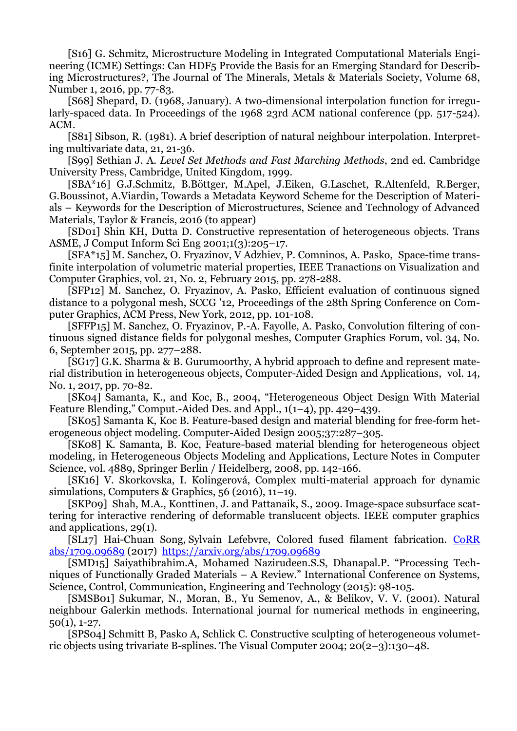[S16] G. Schmitz, Microstructure Modeling in Integrated Computational Materials Engineering (ICME) Settings: Can HDF5 Provide the Basis for an Emerging Standard for Describing Microstructures?, The Journal of The Minerals, Metals & Materials Society, Volume 68, Number 1, 2016, pp. 77-83.

[S68] Shepard, D. (1968, January). A two-dimensional interpolation function for irregularly-spaced data. In Proceedings of the 1968 23rd ACM national conference (pp. 517-524). ACM.

[S81] Sibson, R. (1981). A brief description of natural neighbour interpolation. Interpreting multivariate data, 21, 21-36.

[S99] Sethian J. A. *Level Set Methods and Fast Marching Methods*, 2nd ed. Cambridge University Press, Cambridge, United Kingdom, 1999.

[SBA\*16] G.J.Schmitz, B.Böttger, M.Apel, J.Eiken, G.Laschet, R.Altenfeld, R.Berger, G.Boussinot, A.Viardin, Towards a Metadata Keyword Scheme for the Description of Materials – Keywords for the Description of Microstructures, Science and Technology of Advanced Materials, Taylor & Francis, 2016 (to appear)

[SD01] Shin KH, Dutta D. Constructive representation of heterogeneous objects. Trans ASME, J Comput Inform Sci Eng 2001;1(3):205–17.

[SFA\*15] M. Sanchez, O. Fryazinov, V Adzhiev, P. Comninos, A. Pasko, Space-time transfinite interpolation of volumetric material properties, IEEE Tranactions on Visualization and Computer Graphics, vol. 21, No. 2, February 2015, pp. 278-288.

[SFP12] M. Sanchez, O. Fryazinov, A. Pasko, Efficient evaluation of continuous signed distance to a polygonal mesh, SCCG '12, Proceedings of the 28th Spring Conference on Computer Graphics, ACM Press, New York, 2012, pp. 101-108.

[SFFP15] M. Sanchez, O. Fryazinov, P.-A. Fayolle, A. Pasko, Convolution filtering of continuous signed distance fields for polygonal meshes, Computer Graphics Forum, vol. 34, No. 6, September 2015, pp. 277–288.

[SG17] G.K. Sharma & B. Gurumoorthy, A hybrid approach to define and represent material distribution in heterogeneous objects, Computer-Aided Design and Applications, vol. 14, No. 1, 2017, pp. 70-82.

[SK04] Samanta, K., and Koc, B., 2004, "Heterogeneous Object Design With Material Feature Blending," Comput.-Aided Des. and Appl., 1(1–4), pp. 429–439.

[SK05] Samanta K, Koc B. Feature-based design and material blending for free-form heterogeneous object modeling. Computer-Aided Design 2005;37:287–305.

[SK08] K. Samanta, B. Koc, Feature-based material blending for heterogeneous object modeling, in Heterogeneous Objects Modeling and Applications, Lecture Notes in Computer Science, vol. 4889, Springer Berlin / Heidelberg, 2008, pp. 142-166.

[SK16] V. Skorkovska, I. Kolingerová, Complex multi-material approach for dynamic simulations, Computers & Graphics, 56 (2016), 11–19.

[SKP09] Shah, M.A., Konttinen, J. and Pattanaik, S., 2009. Image-space subsurface scattering for interactive rendering of deformable translucent objects. IEEE computer graphics and applications, 29(1).

[SL17] Hai-Chuan Song, Sylvain Lefebvre, Colored fused filament fabrication. [CoRR](https://deref-mail.com/mail/client/8-8JC4xitVE/dereferrer/?redirectUrl=http%3A%2F%2Fdblp.uni-trier.de%2Fdb%2Fjournals%2Fcorr%2Fcorr1709.html%23abs-1709-09689)  [abs/1709.09689](https://deref-mail.com/mail/client/8-8JC4xitVE/dereferrer/?redirectUrl=http%3A%2F%2Fdblp.uni-trier.de%2Fdb%2Fjournals%2Fcorr%2Fcorr1709.html%23abs-1709-09689) (2017) [https://arxiv.org/abs/1709.09689](https://deref-mail.com/mail/client/zb_kQ5BETo4/dereferrer/?redirectUrl=https%3A%2F%2Farxiv.org%2Fabs%2F1709.09689)

[SMD15] Saiyathibrahim.A, Mohamed Nazirudeen.S.S, Dhanapal.P. "Processing Techniques of Functionally Graded Materials – A Review." International Conference on Systems, Science, Control, Communication, Engineering and Technology (2015): 98-105.

[SMSB01] Sukumar, N., Moran, B., Yu Semenov, A., & Belikov, V. V. (2001). Natural neighbour Galerkin methods. International journal for numerical methods in engineering,  $50(1), 1-27.$ 

[SPS04] Schmitt B, Pasko A, Schlick C. Constructive sculpting of heterogeneous volumetric objects using trivariate B-splines. The Visual Computer 2004; 20(2–3):130–48.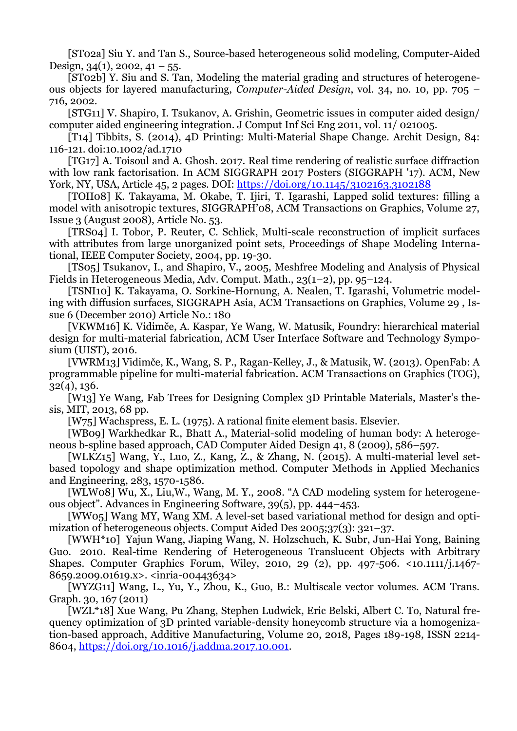[ST02a] Siu Y. and Tan S., Source-based heterogeneous solid modeling, Computer-Aided Design, 34(1), 2002, 41 – 55.

[ST02b] Y. Siu and S. Tan, Modeling the material grading and structures of heterogeneous objects for layered manufacturing, *Computer-Aided Design*, vol. 34, no. 10, pp. 705 – 716, 2002.

[STG11] V. Shapiro, I. Tsukanov, A. Grishin, Geometric issues in computer aided design/ computer aided engineering integration. J Comput Inf Sci Eng 2011, vol. 11/ 021005.

[T14] Tibbits, S. (2014), 4D Printing: Multi‐Material Shape Change. Archit Design, 84: 116-121. doi:10.1002/ad.1710

[TG17] A. Toisoul and A. Ghosh. 2017. Real time rendering of realistic surface diffraction with low rank factorisation. In ACM SIGGRAPH 2017 Posters (SIGGRAPH '17). ACM, New York, NY, USA, Article 45, 2 pages. DOI:<https://doi.org/10.1145/3102163.3102188>

[TOII08] K. Takayama, M. Okabe, T. Ijiri, T. Igarashi, Lapped solid textures: filling a model with anisotropic textures, SIGGRAPH'08, ACM Transactions on Graphics, Volume 27, Issue 3 (August 2008), Article No. 53.

[TRS04] I. Tobor, P. Reuter, C. Schlick, Multi-scale reconstruction of implicit surfaces with attributes from large unorganized point sets, Proceedings of Shape Modeling International, IEEE Computer Society, 2004, pp. 19-30.

[TS05] Tsukanov, I., and Shapiro, V., 2005, Meshfree Modeling and Analysis of Physical Fields in Heterogeneous Media, Adv. Comput. Math., 23(1–2), pp. 95–124.

[TSNI10] K. Takayama, O. Sorkine-Hornung, A. Nealen, T. Igarashi, Volumetric modeling with diffusion surfaces, SIGGRAPH Asia, ACM Transactions on Graphics, Volume 29 , Issue 6 (December 2010) Article No.: 180

[VKWM16] K. Vidimče, A. Kaspar, Ye Wang, W. Matusik, Foundry: hierarchical material design for multi-material fabrication, ACM User Interface Software and Technology Symposium (UIST), 2016.

[VWRM13] Vidimče, K., Wang, S. P., Ragan-Kelley, J., & Matusik, W. (2013). OpenFab: A programmable pipeline for multi-material fabrication. ACM Transactions on Graphics (TOG), 32(4), 136.

[W13] Ye Wang, Fab Trees for Designing Complex 3D Printable Materials, Master's thesis, MIT, 2013, 68 pp.

[W75] Wachspress, E. L. (1975). A rational finite element basis. Elsevier.

[WB09] Warkhedkar R., Bhatt A., Material-solid modeling of human body: A heterogeneous b-spline based approach, CAD Computer Aided Design 41, 8 (2009), 586–597.

[WLKZ15] Wang, Y., Luo, Z., Kang, Z., & Zhang, N. (2015). A multi-material level setbased topology and shape optimization method. Computer Methods in Applied Mechanics and Engineering, 283, 1570-1586.

[WLW08] Wu, X., Liu,W., Wang, M. Y., 2008. "A CAD modeling system for heterogeneous object". Advances in Engineering Software, 39(5), pp. 444–453.

[WW05] Wang MY, Wang XM. A level-set based variational method for design and optimization of heterogeneous objects. Comput Aided Des 2005;37(3): 321–37.

[WWH\*10] Yajun Wang, Jiaping Wang, N. Holzschuch, K. Subr, Jun-Hai Yong, Baining Guo. 2010. Real-time Rendering of Heterogeneous Translucent Objects with Arbitrary Shapes. Computer Graphics Forum, Wiley, 2010, 29 (2), pp. 497-506. <10.1111/j.1467- 8659.2009.01619.x>. <inria-00443634>

[WYZG11] Wang, L., Yu, Y., Zhou, K., Guo, B.: Multiscale vector volumes. ACM Trans. Graph. 30, 167 (2011)

[WZL\*18] Xue Wang, Pu Zhang, Stephen Ludwick, Eric Belski, Albert C. To, Natural frequency optimization of 3D printed variable-density honeycomb structure via a homogenization-based approach, Additive Manufacturing, Volume 20, 2018, Pages 189-198, ISSN 2214- 8604, [https://doi.org/10.1016/j.addma.2017.10.001.](https://doi.org/10.1016/j.addma.2017.10.001)